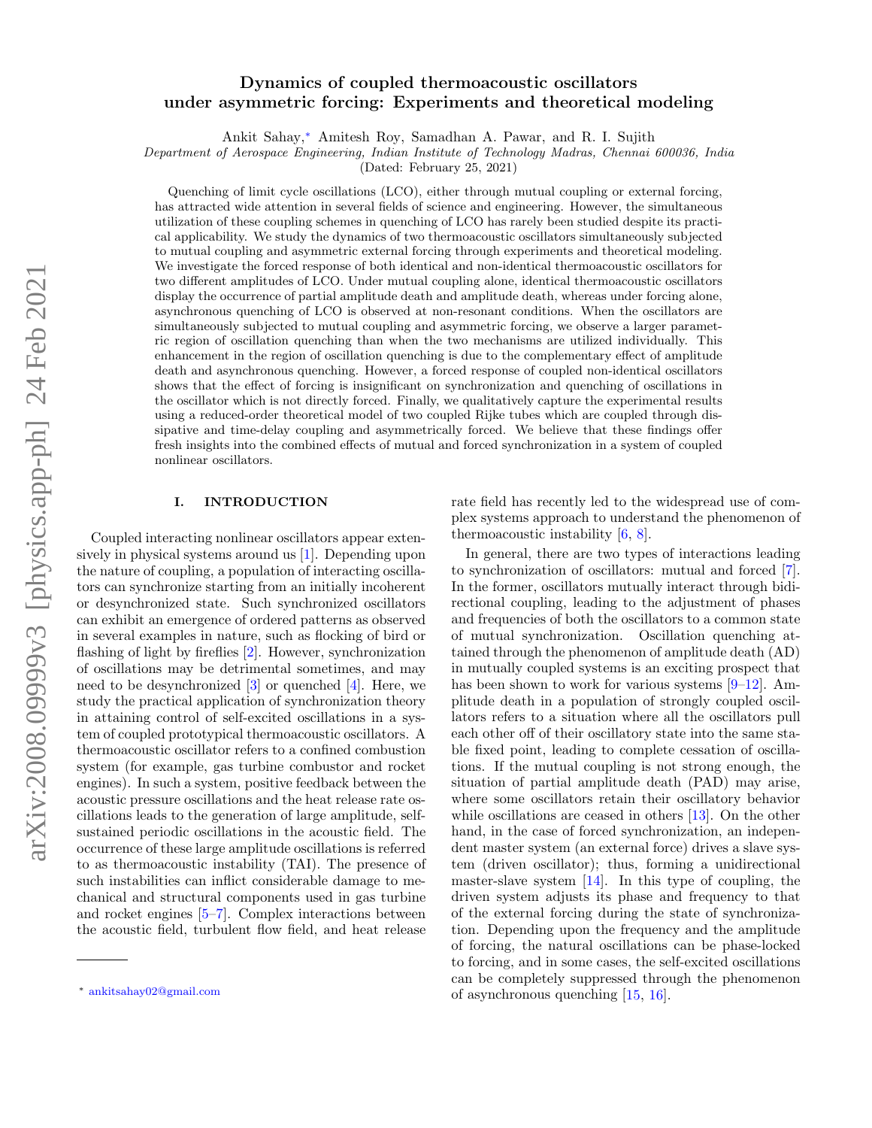# arXiv:2008.09999v3 [physics.app-ph] 24 Feb 2021 arXiv:2008.09999v3 [physics.app-ph] 24 Feb 2021

## Dynamics of coupled thermoacoustic oscillators under asymmetric forcing: Experiments and theoretical modeling

Ankit Sahay,<sup>∗</sup> Amitesh Roy, Samadhan A. Pawar, and R. I. Sujith

Department of Aerospace Engineering, Indian Institute of Technology Madras, Chennai 600036, India

(Dated: February 25, 2021)

Quenching of limit cycle oscillations (LCO), either through mutual coupling or external forcing, has attracted wide attention in several fields of science and engineering. However, the simultaneous utilization of these coupling schemes in quenching of LCO has rarely been studied despite its practical applicability. We study the dynamics of two thermoacoustic oscillators simultaneously subjected to mutual coupling and asymmetric external forcing through experiments and theoretical modeling. We investigate the forced response of both identical and non-identical thermoacoustic oscillators for two different amplitudes of LCO. Under mutual coupling alone, identical thermoacoustic oscillators display the occurrence of partial amplitude death and amplitude death, whereas under forcing alone, asynchronous quenching of LCO is observed at non-resonant conditions. When the oscillators are simultaneously subjected to mutual coupling and asymmetric forcing, we observe a larger parametric region of oscillation quenching than when the two mechanisms are utilized individually. This enhancement in the region of oscillation quenching is due to the complementary effect of amplitude death and asynchronous quenching. However, a forced response of coupled non-identical oscillators shows that the effect of forcing is insignificant on synchronization and quenching of oscillations in the oscillator which is not directly forced. Finally, we qualitatively capture the experimental results using a reduced-order theoretical model of two coupled Rijke tubes which are coupled through dissipative and time-delay coupling and asymmetrically forced. We believe that these findings offer fresh insights into the combined effects of mutual and forced synchronization in a system of coupled nonlinear oscillators.

### I. INTRODUCTION

Coupled interacting nonlinear oscillators appear extensively in physical systems around us [1]. Depending upon the nature of coupling, a population of interacting oscillators can synchronize starting from an initially incoherent or desynchronized state. Such synchronized oscillators can exhibit an emergence of ordered patterns as observed in several examples in nature, such as flocking of bird or flashing of light by fireflies [2]. However, synchronization of oscillations may be detrimental sometimes, and may need to be desynchronized  $[3]$  or quenched  $[4]$ . Here, we study the practical application of synchronization theory in attaining control of self-excited oscillations in a system of coupled prototypical thermoacoustic oscillators. A thermoacoustic oscillator refers to a confined combustion system (for example, gas turbine combustor and rocket engines). In such a system, positive feedback between the acoustic pressure oscillations and the heat release rate oscillations leads to the generation of large amplitude, selfsustained periodic oscillations in the acoustic field. The occurrence of these large amplitude oscillations is referred to as thermoacoustic instability (TAI). The presence of such instabilities can inflict considerable damage to mechanical and structural components used in gas turbine and rocket engines [5–7]. Complex interactions between the acoustic field, turbulent flow field, and heat release

rate field has recently led to the widespread use of complex systems approach to understand the phenomenon of thermoacoustic instability [6, 8].

In general, there are two types of interactions leading to synchronization of oscillators: mutual and forced [7]. In the former, oscillators mutually interact through bidirectional coupling, leading to the adjustment of phases and frequencies of both the oscillators to a common state of mutual synchronization. Oscillation quenching attained through the phenomenon of amplitude death (AD) in mutually coupled systems is an exciting prospect that has been shown to work for various systems [9–12]. Amplitude death in a population of strongly coupled oscillators refers to a situation where all the oscillators pull each other off of their oscillatory state into the same stable fixed point, leading to complete cessation of oscillations. If the mutual coupling is not strong enough, the situation of partial amplitude death (PAD) may arise, where some oscillators retain their oscillatory behavior while oscillations are ceased in others [13]. On the other hand, in the case of forced synchronization, an independent master system (an external force) drives a slave system (driven oscillator); thus, forming a unidirectional master-slave system [14]. In this type of coupling, the driven system adjusts its phase and frequency to that of the external forcing during the state of synchronization. Depending upon the frequency and the amplitude of forcing, the natural oscillations can be phase-locked to forcing, and in some cases, the self-excited oscillations can be completely suppressed through the phenomenon of asynchronous quenching [15, 16].

<sup>∗</sup> ankitsahay02@gmail.com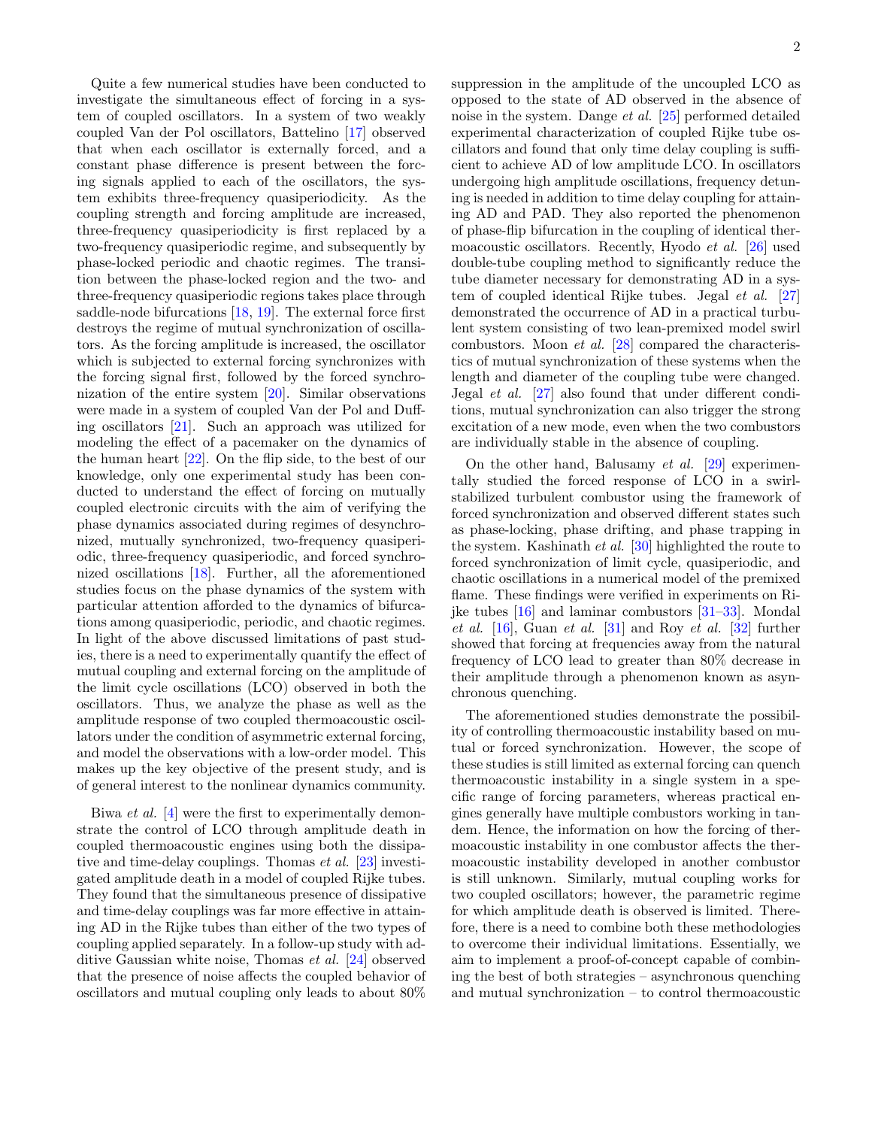Quite a few numerical studies have been conducted to investigate the simultaneous effect of forcing in a system of coupled oscillators. In a system of two weakly coupled Van der Pol oscillators, Battelino [17] observed that when each oscillator is externally forced, and a constant phase difference is present between the forcing signals applied to each of the oscillators, the system exhibits three-frequency quasiperiodicity. As the coupling strength and forcing amplitude are increased, three-frequency quasiperiodicity is first replaced by a two-frequency quasiperiodic regime, and subsequently by phase-locked periodic and chaotic regimes. The transition between the phase-locked region and the two- and three-frequency quasiperiodic regions takes place through saddle-node bifurcations [18, 19]. The external force first destroys the regime of mutual synchronization of oscillators. As the forcing amplitude is increased, the oscillator which is subjected to external forcing synchronizes with the forcing signal first, followed by the forced synchronization of the entire system [20]. Similar observations were made in a system of coupled Van der Pol and Duffing oscillators [21]. Such an approach was utilized for modeling the effect of a pacemaker on the dynamics of the human heart [22]. On the flip side, to the best of our knowledge, only one experimental study has been conducted to understand the effect of forcing on mutually coupled electronic circuits with the aim of verifying the phase dynamics associated during regimes of desynchronized, mutually synchronized, two-frequency quasiperiodic, three-frequency quasiperiodic, and forced synchronized oscillations [18]. Further, all the aforementioned studies focus on the phase dynamics of the system with particular attention afforded to the dynamics of bifurcations among quasiperiodic, periodic, and chaotic regimes. In light of the above discussed limitations of past studies, there is a need to experimentally quantify the effect of mutual coupling and external forcing on the amplitude of the limit cycle oscillations (LCO) observed in both the oscillators. Thus, we analyze the phase as well as the amplitude response of two coupled thermoacoustic oscillators under the condition of asymmetric external forcing, and model the observations with a low-order model. This makes up the key objective of the present study, and is of general interest to the nonlinear dynamics community.

Biwa et al. [4] were the first to experimentally demonstrate the control of LCO through amplitude death in coupled thermoacoustic engines using both the dissipative and time-delay couplings. Thomas et al. [23] investigated amplitude death in a model of coupled Rijke tubes. They found that the simultaneous presence of dissipative and time-delay couplings was far more effective in attaining AD in the Rijke tubes than either of the two types of coupling applied separately. In a follow-up study with additive Gaussian white noise, Thomas et al. [24] observed that the presence of noise affects the coupled behavior of oscillators and mutual coupling only leads to about 80% suppression in the amplitude of the uncoupled LCO as opposed to the state of AD observed in the absence of noise in the system. Dange et al. [25] performed detailed experimental characterization of coupled Rijke tube oscillators and found that only time delay coupling is sufficient to achieve AD of low amplitude LCO. In oscillators undergoing high amplitude oscillations, frequency detuning is needed in addition to time delay coupling for attaining AD and PAD. They also reported the phenomenon of phase-flip bifurcation in the coupling of identical thermoacoustic oscillators. Recently, Hyodo et al. [26] used double-tube coupling method to significantly reduce the tube diameter necessary for demonstrating AD in a system of coupled identical Rijke tubes. Jegal et al. [27] demonstrated the occurrence of AD in a practical turbulent system consisting of two lean-premixed model swirl combustors. Moon et al. [28] compared the characteristics of mutual synchronization of these systems when the length and diameter of the coupling tube were changed. Jegal et al. [27] also found that under different conditions, mutual synchronization can also trigger the strong excitation of a new mode, even when the two combustors are individually stable in the absence of coupling.

On the other hand, Balusamy *et al.* [29] experimentally studied the forced response of LCO in a swirlstabilized turbulent combustor using the framework of forced synchronization and observed different states such as phase-locking, phase drifting, and phase trapping in the system. Kashinath et al. [30] highlighted the route to forced synchronization of limit cycle, quasiperiodic, and chaotic oscillations in a numerical model of the premixed flame. These findings were verified in experiments on Rijke tubes [16] and laminar combustors [31–33]. Mondal et al.  $[16]$ , Guan et al.  $[31]$  and Roy et al.  $[32]$  further showed that forcing at frequencies away from the natural frequency of LCO lead to greater than 80% decrease in their amplitude through a phenomenon known as asynchronous quenching.

The aforementioned studies demonstrate the possibility of controlling thermoacoustic instability based on mutual or forced synchronization. However, the scope of these studies is still limited as external forcing can quench thermoacoustic instability in a single system in a specific range of forcing parameters, whereas practical engines generally have multiple combustors working in tandem. Hence, the information on how the forcing of thermoacoustic instability in one combustor affects the thermoacoustic instability developed in another combustor is still unknown. Similarly, mutual coupling works for two coupled oscillators; however, the parametric regime for which amplitude death is observed is limited. Therefore, there is a need to combine both these methodologies to overcome their individual limitations. Essentially, we aim to implement a proof-of-concept capable of combining the best of both strategies – asynchronous quenching and mutual synchronization – to control thermoacoustic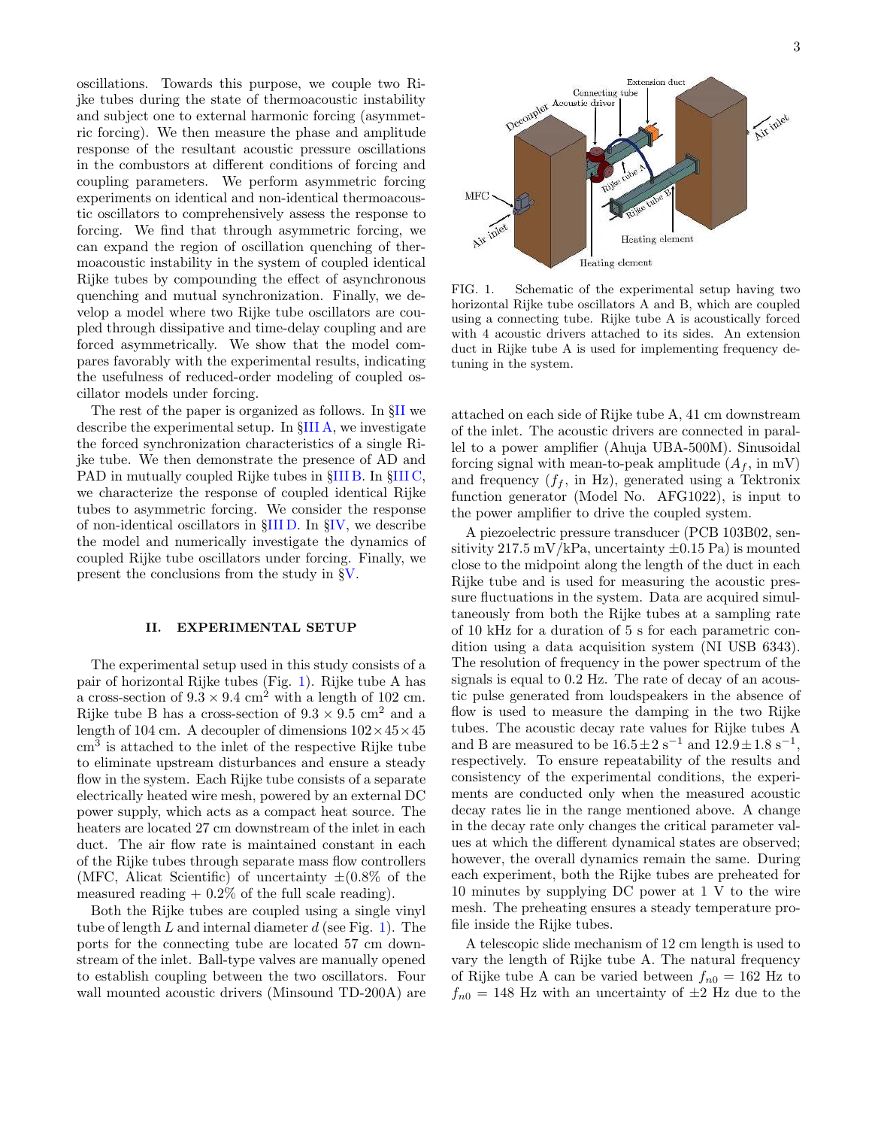oscillations. Towards this purpose, we couple two Rijke tubes during the state of thermoacoustic instability and subject one to external harmonic forcing (asymmetric forcing). We then measure the phase and amplitude response of the resultant acoustic pressure oscillations in the combustors at different conditions of forcing and coupling parameters. We perform asymmetric forcing experiments on identical and non-identical thermoacoustic oscillators to comprehensively assess the response to forcing. We find that through asymmetric forcing, we can expand the region of oscillation quenching of thermoacoustic instability in the system of coupled identical Rijke tubes by compounding the effect of asynchronous quenching and mutual synchronization. Finally, we develop a model where two Rijke tube oscillators are coupled through dissipative and time-delay coupling and are forced asymmetrically. We show that the model compares favorably with the experimental results, indicating the usefulness of reduced-order modeling of coupled oscillator models under forcing.

The rest of the paper is organized as follows. In §II we describe the experimental setup. In §III A, we investigate the forced synchronization characteristics of a single Rijke tube. We then demonstrate the presence of AD and PAD in mutually coupled Rijke tubes in §III B. In §III C, we characterize the response of coupled identical Rijke tubes to asymmetric forcing. We consider the response of non-identical oscillators in §III D. In §IV, we describe the model and numerically investigate the dynamics of coupled Rijke tube oscillators under forcing. Finally, we present the conclusions from the study in §V.

### II. EXPERIMENTAL SETUP

The experimental setup used in this study consists of a pair of horizontal Rijke tubes (Fig. 1). Rijke tube A has a cross-section of  $9.3 \times 9.4$  cm<sup>2</sup> with a length of 102 cm. Rijke tube B has a cross-section of  $9.3 \times 9.5$  cm<sup>2</sup> and a length of 104 cm. A decoupler of dimensions  $102 \times 45 \times 45$ cm<sup>3</sup> is attached to the inlet of the respective Rijke tube to eliminate upstream disturbances and ensure a steady flow in the system. Each Rijke tube consists of a separate electrically heated wire mesh, powered by an external DC power supply, which acts as a compact heat source. The heaters are located 27 cm downstream of the inlet in each duct. The air flow rate is maintained constant in each of the Rijke tubes through separate mass flow controllers (MFC, Alicat Scientific) of uncertainty  $\pm (0.8\% \text{ of the})$ measured reading  $+ 0.2\%$  of the full scale reading).

Both the Rijke tubes are coupled using a single vinyl tube of length L and internal diameter  $d$  (see Fig. 1). The ports for the connecting tube are located 57 cm downstream of the inlet. Ball-type valves are manually opened to establish coupling between the two oscillators. Four wall mounted acoustic drivers (Minsound TD-200A) are



FIG. 1. Schematic of the experimental setup having two horizontal Rijke tube oscillators A and B, which are coupled using a connecting tube. Rijke tube A is acoustically forced with 4 acoustic drivers attached to its sides. An extension duct in Rijke tube A is used for implementing frequency detuning in the system.

attached on each side of Rijke tube A, 41 cm downstream of the inlet. The acoustic drivers are connected in parallel to a power amplifier (Ahuja UBA-500M). Sinusoidal forcing signal with mean-to-peak amplitude  $(A_f, \text{ in } \text{mV})$ and frequency  $(f_f, \text{ in Hz})$ , generated using a Tektronix function generator (Model No. AFG1022), is input to the power amplifier to drive the coupled system.

A piezoelectric pressure transducer (PCB 103B02, sensitivity 217.5 mV/kPa, uncertainty  $\pm 0.15$  Pa) is mounted close to the midpoint along the length of the duct in each Rijke tube and is used for measuring the acoustic pressure fluctuations in the system. Data are acquired simultaneously from both the Rijke tubes at a sampling rate of 10 kHz for a duration of 5 s for each parametric condition using a data acquisition system (NI USB 6343). The resolution of frequency in the power spectrum of the signals is equal to 0.2 Hz. The rate of decay of an acoustic pulse generated from loudspeakers in the absence of flow is used to measure the damping in the two Rijke tubes. The acoustic decay rate values for Rijke tubes A and B are measured to be  $16.5 \pm 2 \text{ s}^{-1}$  and  $12.9 \pm 1.8 \text{ s}^{-1}$ , respectively. To ensure repeatability of the results and consistency of the experimental conditions, the experiments are conducted only when the measured acoustic decay rates lie in the range mentioned above. A change in the decay rate only changes the critical parameter values at which the different dynamical states are observed; however, the overall dynamics remain the same. During each experiment, both the Rijke tubes are preheated for 10 minutes by supplying DC power at 1 V to the wire mesh. The preheating ensures a steady temperature profile inside the Rijke tubes.

A telescopic slide mechanism of 12 cm length is used to vary the length of Rijke tube A. The natural frequency of Rijke tube A can be varied between  $f_{n0} = 162$  Hz to  $f_{n0} = 148$  Hz with an uncertainty of  $\pm 2$  Hz due to the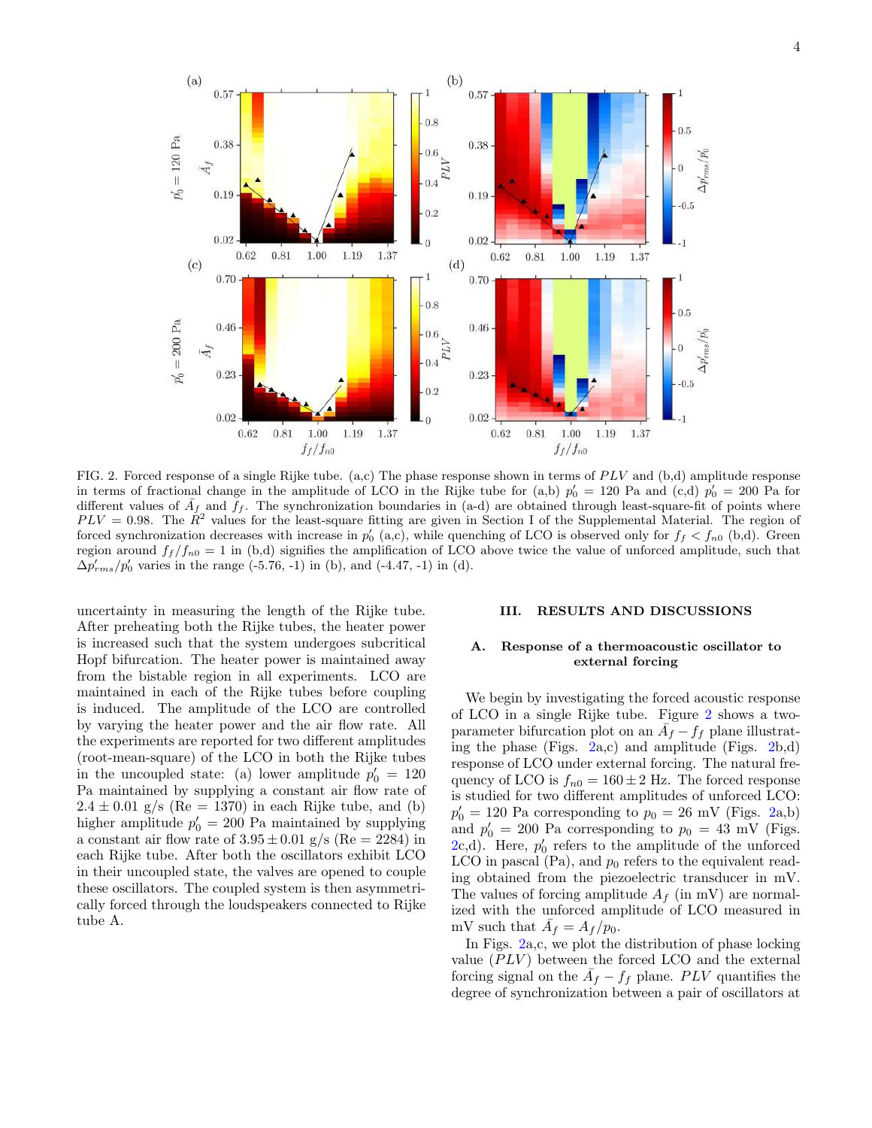

FIG. 2. Forced response of a single Rijke tube. (a,c) The phase response shown in terms of  $PLV$  and (b,d) amplitude response in terms of fractional change in the amplitude of LCO in the Rijke tube for (a,b)  $p'_0 = 120$  Pa and  $(c,d)$   $p'_0 = 200$  Pa for different values of  $\bar{A}_f$  and  $f_f$ . The synchronization boundaries in (a-d) are obtained through least-square-fit of points where  $PLV = 0.98$ . The  $R^2$  values for the least-square fitting are given in Section I of the Supplemental Material. The region of forced synchronization decreases with increase in  $p'_0$  (a,c), while quenching of LCO is observed only for  $f_f < f_{n0}$  (b,d). Green region around  $f_f/f_{n0} = 1$  in (b,d) signifies the amplification of LCO above twice the value of unforced amplitude, such that  $\Delta p'_{rms}/p'_{0}$  varies in the range (-5.76, -1) in (b), and (-4.47, -1) in (d).

uncertainty in measuring the length of the Rijke tube. After preheating both the Rijke tubes, the heater power is increased such that the system undergoes subcritical Hopf bifurcation. The heater power is maintained away from the bistable region in all experiments. LCO are maintained in each of the Rijke tubes before coupling is induced. The amplitude of the LCO are controlled by varying the heater power and the air flow rate. All the experiments are reported for two different amplitudes (root-mean-square) of the LCO in both the Rijke tubes in the uncoupled state: (a) lower amplitude  $p'_0 = 120$ Pa maintained by supplying a constant air flow rate of  $2.4 \pm 0.01$  g/s (Re = 1370) in each Rijke tube, and (b) higher amplitude  $p'_0 = 200$  Pa maintained by supplying a constant air flow rate of  $3.95 \pm 0.01$  g/s (Re = 2284) in each Rijke tube. After both the oscillators exhibit LCO in their uncoupled state, the valves are opened to couple these oscillators. The coupled system is then asymmetrically forced through the loudspeakers connected to Rijke tube A.

### III. RESULTS AND DISCUSSIONS

### A. Response of a thermoacoustic oscillator to external forcing

We begin by investigating the forced acoustic response of LCO in a single Rijke tube. Figure 2 shows a twoparameter bifurcation plot on an  $\overline{A}_f - f_f$  plane illustrating the phase (Figs.  $2a,c$ ) and amplitude (Figs.  $2b,d$ ) response of LCO under external forcing. The natural frequency of LCO is  $f_{n0} = 160 \pm 2$  Hz. The forced response is studied for two different amplitudes of unforced LCO:  $p'_0 = 120$  Pa corresponding to  $p_0 = 26$  mV (Figs. 2a,b) and  $p'_0 = 200$  Pa corresponding to  $p_0 = 43$  mV (Figs.  $2c,d$ ). Here,  $p'_0$  refers to the amplitude of the unforced LCO in pascal  $(Pa)$ , and  $p_0$  refers to the equivalent reading obtained from the piezoelectric transducer in mV. The values of forcing amplitude  $A_f$  (in mV) are normalized with the unforced amplitude of LCO measured in mV such that  $\bar{A}_f = A_f / p_0$ .

In Figs. 2a,c, we plot the distribution of phase locking value  $(PLV)$  between the forced LCO and the external forcing signal on the  $\bar{A}_f - f_f$  plane. PLV quantifies the degree of synchronization between a pair of oscillators at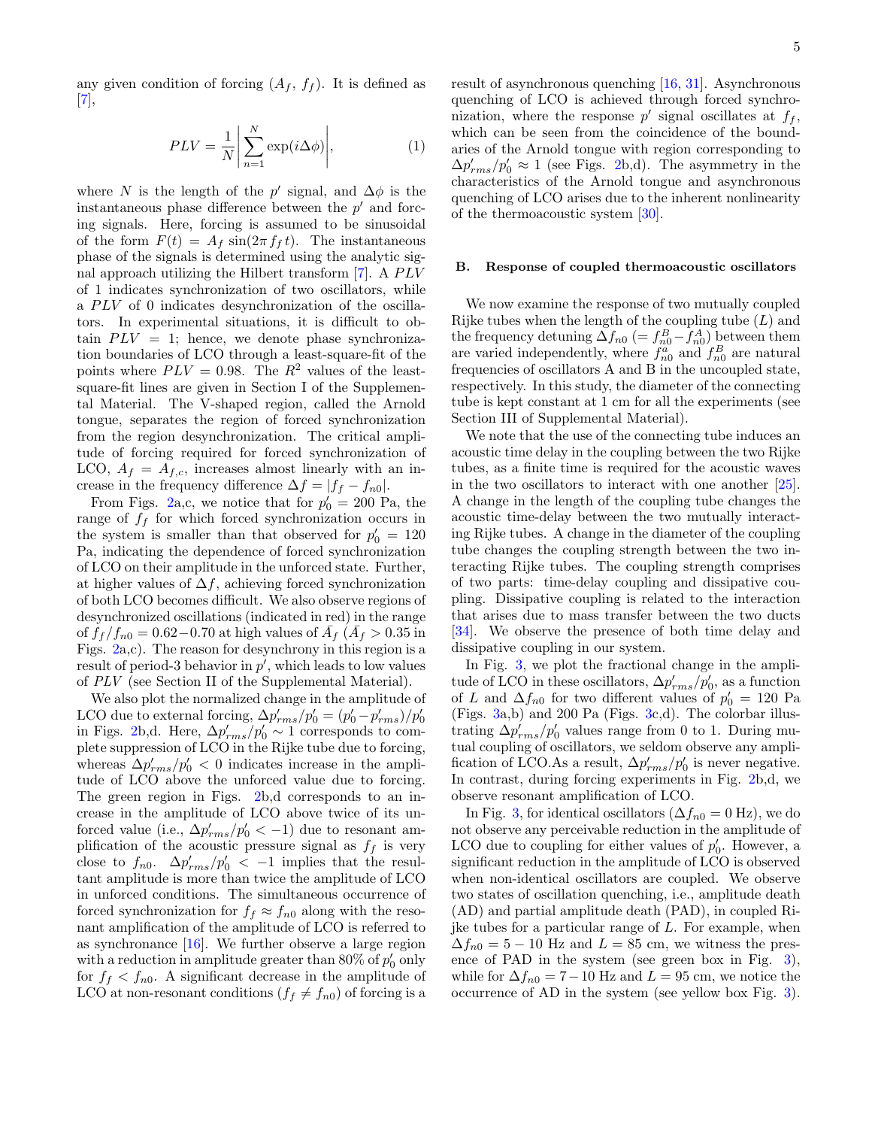any given condition of forcing  $(A_f, f_f)$ . It is defined as [7],

$$
PLV = \frac{1}{N} \left| \sum_{n=1}^{N} \exp(i\Delta\phi) \right|, \tag{1}
$$

where N is the length of the p' signal, and  $\Delta\phi$  is the instantaneous phase difference between the  $p'$  and forcing signals. Here, forcing is assumed to be sinusoidal of the form  $F(t) = A_f \sin(2\pi f_f t)$ . The instantaneous phase of the signals is determined using the analytic signal approach utilizing the Hilbert transform  $[7]$ . A  $PLV$ of 1 indicates synchronization of two oscillators, while a  $PLV$  of 0 indicates desynchronization of the oscillators. In experimental situations, it is difficult to obtain  $PLV = 1$ ; hence, we denote phase synchronization boundaries of LCO through a least-square-fit of the points where  $PLV = 0.98$ . The  $R^2$  values of the leastsquare-fit lines are given in Section I of the Supplemental Material. The V-shaped region, called the Arnold tongue, separates the region of forced synchronization from the region desynchronization. The critical amplitude of forcing required for forced synchronization of LCO,  $A_f = A_{f,c}$ , increases almost linearly with an increase in the frequency difference  $\Delta f = |f_f - f_{n0}|$ .

From Figs. 2a,c, we notice that for  $p_0' = 200$  Pa, the range of  $f_f$  for which forced synchronization occurs in the system is smaller than that observed for  $p'_0 = 120$ Pa, indicating the dependence of forced synchronization of LCO on their amplitude in the unforced state. Further, at higher values of  $\Delta f$ , achieving forced synchronization of both LCO becomes difficult. We also observe regions of desynchronized oscillations (indicated in red) in the range of  $f_f/f_{n0} = 0.62 - 0.70$  at high values of  $\bar{A}_f$  ( $\bar{A}_f > 0.35$  in Figs. 2a,c). The reason for desynchrony in this region is a result of period-3 behavior in  $p'$ , which leads to low values of PLV (see Section II of the Supplemental Material).

We also plot the normalized change in the amplitude of LCO due to external forcing,  $\Delta p'_{rms}/p'_0 = (p'_0 - p'_{rms})/p'_0$ in Figs. 2b,d. Here,  $\Delta p'_{rms}/p'_0 \sim 1$  corresponds to complete suppression of LCO in the Rijke tube due to forcing, whereas  $\Delta p'_{rms}/p'_0$  < 0 indicates increase in the amplitude of LCO above the unforced value due to forcing. The green region in Figs. 2b,d corresponds to an increase in the amplitude of LCO above twice of its unforced value (i.e.,  $\Delta p'_{rms}/p'_0 < -1$ ) due to resonant amplification of the acoustic pressure signal as  $f_f$  is very close to  $f_{n0}$ .  $\Delta p'_{rms}/p'_{0}$  < -1 implies that the resultant amplitude is more than twice the amplitude of LCO in unforced conditions. The simultaneous occurrence of forced synchronization for  $f_f \approx f_{n0}$  along with the resonant amplification of the amplitude of LCO is referred to as synchronance [16]. We further observe a large region with a reduction in amplitude greater than 80% of  $p'_0$  only for  $f_f < f_{n0}$ . A significant decrease in the amplitude of LCO at non-resonant conditions  $(f_f \neq f_{n0})$  of forcing is a

result of asynchronous quenching [16, 31]. Asynchronous quenching of LCO is achieved through forced synchronization, where the response  $p'$  signal oscillates at  $f_f$ , which can be seen from the coincidence of the boundaries of the Arnold tongue with region corresponding to  $\Delta p'_{rms}/p'_0 \approx 1$  (see Figs. 2b,d). The asymmetry in the characteristics of the Arnold tongue and asynchronous quenching of LCO arises due to the inherent nonlinearity of the thermoacoustic system [30].

### B. Response of coupled thermoacoustic oscillators

We now examine the response of two mutually coupled Rijke tubes when the length of the coupling tube  $(L)$  and the frequency detuning  $\Delta f_{n0}$  (=  $f_{n0}^B - f_{n0}^A$ ) between them are varied independently, where  $f_{n0}^a$  and  $f_{n0}^B$  are natural frequencies of oscillators A and B in the uncoupled state, respectively. In this study, the diameter of the connecting tube is kept constant at 1 cm for all the experiments (see Section III of Supplemental Material).

We note that the use of the connecting tube induces an acoustic time delay in the coupling between the two Rijke tubes, as a finite time is required for the acoustic waves in the two oscillators to interact with one another [25]. A change in the length of the coupling tube changes the acoustic time-delay between the two mutually interacting Rijke tubes. A change in the diameter of the coupling tube changes the coupling strength between the two interacting Rijke tubes. The coupling strength comprises of two parts: time-delay coupling and dissipative coupling. Dissipative coupling is related to the interaction that arises due to mass transfer between the two ducts [34]. We observe the presence of both time delay and dissipative coupling in our system.

In Fig. 3, we plot the fractional change in the amplitude of LCO in these oscillators,  $\Delta p'_{rms}/p'_0$ , as a function of L and  $\Delta f_{n0}$  for two different values of  $p'_0 = 120$  Pa (Figs. 3a,b) and 200 Pa (Figs. 3c,d). The colorbar illustrating  $\Delta p'_{rms}/p'_0$  values range from 0 to 1. During mutual coupling of oscillators, we seldom observe any amplification of LCO.As a result,  $\Delta p'_{rms}/p'_0$  is never negative. In contrast, during forcing experiments in Fig. 2b,d, we observe resonant amplification of LCO.

In Fig. 3, for identical oscillators ( $\Delta f_{n0} = 0$  Hz), we do not observe any perceivable reduction in the amplitude of LCO due to coupling for either values of  $p'_0$ . However, a significant reduction in the amplitude of LCO is observed when non-identical oscillators are coupled. We observe two states of oscillation quenching, i.e., amplitude death (AD) and partial amplitude death (PAD), in coupled Rijke tubes for a particular range of  $L$ . For example, when  $\Delta f_{n0} = 5 - 10$  Hz and  $L = 85$  cm, we witness the presence of PAD in the system (see green box in Fig. 3), while for  $\Delta f_{n0} = 7 - 10$  Hz and  $L = 95$  cm, we notice the occurrence of AD in the system (see yellow box Fig. 3).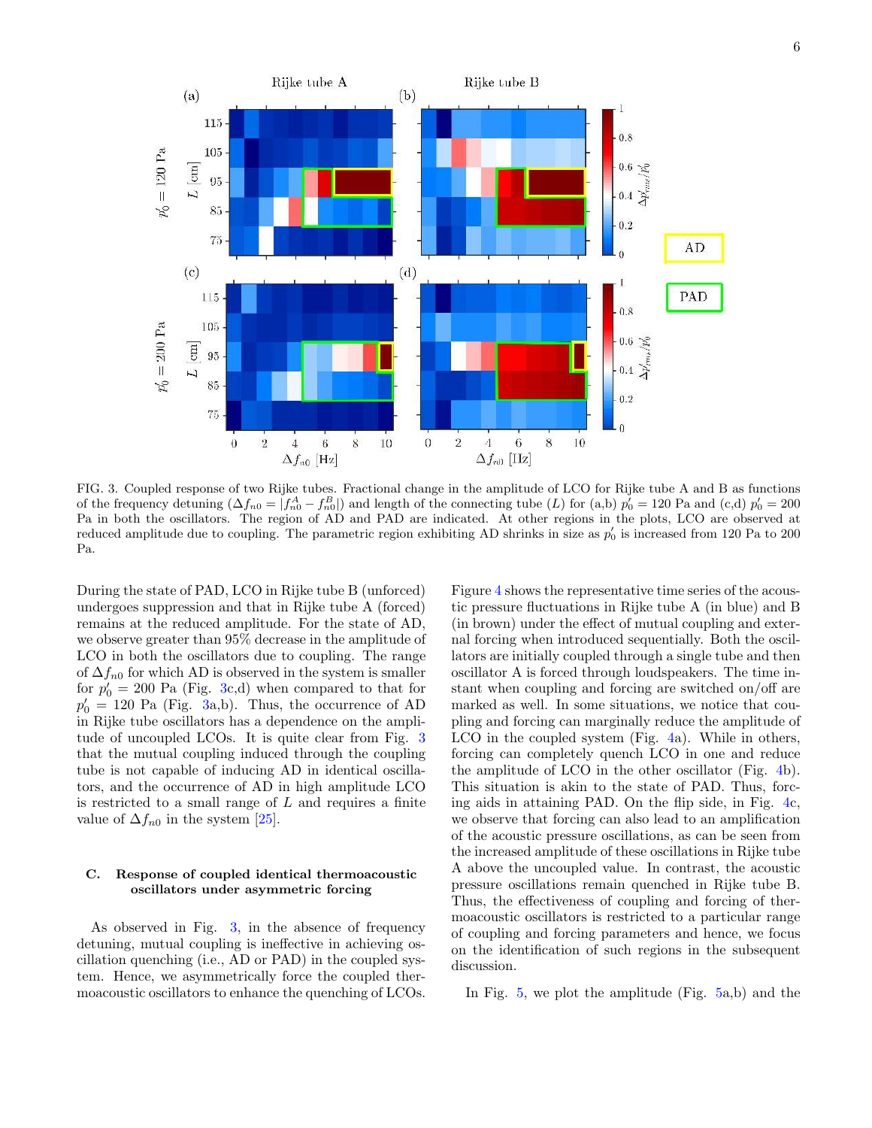

FIG. 3. Coupled response of two Rijke tubes. Fractional change in the amplitude of LCO for Rijke tube A and B as functions of the frequency detuning  $(\Delta f_{n0} = | f_{n0}^A - f_{n0}^B|)$  and length of the connecting tube (L) for (a,b)  $p'_0 = 120$  Pa and (c,d)  $p'_0 = 200$ Pa in both the oscillators. The region of AD and PAD are indicated. At other regions in the plots, LCO are observed at reduced amplitude due to coupling. The parametric region exhibiting AD shrinks in size as  $p'_0$  is increased from 120 Pa to 200 Pa.

During the state of PAD, LCO in Rijke tube B (unforced) undergoes suppression and that in Rijke tube A (forced) remains at the reduced amplitude. For the state of AD, we observe greater than 95% decrease in the amplitude of LCO in both the oscillators due to coupling. The range of  $\Delta f_{n0}$  for which AD is observed in the system is smaller for  $p'_0 = 200$  Pa (Fig. 3c,d) when compared to that for  $p'_0 = 120$  Pa (Fig. 3a,b). Thus, the occurrence of AD in Rijke tube oscillators has a dependence on the amplitude of uncoupled LCOs. It is quite clear from Fig. 3 that the mutual coupling induced through the coupling tube is not capable of inducing AD in identical oscillators, and the occurrence of AD in high amplitude LCO is restricted to a small range of  $L$  and requires a finite value of  $\Delta f_{n0}$  in the system [25].

### C. Response of coupled identical thermoacoustic oscillators under asymmetric forcing

As observed in Fig. 3, in the absence of frequency detuning, mutual coupling is ineffective in achieving oscillation quenching (i.e., AD or PAD) in the coupled system. Hence, we asymmetrically force the coupled thermoacoustic oscillators to enhance the quenching of LCOs.

Figure 4 shows the representative time series of the acoustic pressure fluctuations in Rijke tube A (in blue) and B (in brown) under the effect of mutual coupling and external forcing when introduced sequentially. Both the oscillators are initially coupled through a single tube and then oscillator A is forced through loudspeakers. The time instant when coupling and forcing are switched on/off are marked as well. In some situations, we notice that coupling and forcing can marginally reduce the amplitude of LCO in the coupled system (Fig. 4a). While in others, forcing can completely quench LCO in one and reduce the amplitude of LCO in the other oscillator (Fig. 4b). This situation is akin to the state of PAD. Thus, forcing aids in attaining PAD. On the flip side, in Fig. 4c, we observe that forcing can also lead to an amplification of the acoustic pressure oscillations, as can be seen from the increased amplitude of these oscillations in Rijke tube A above the uncoupled value. In contrast, the acoustic pressure oscillations remain quenched in Rijke tube B. Thus, the effectiveness of coupling and forcing of thermoacoustic oscillators is restricted to a particular range of coupling and forcing parameters and hence, we focus on the identification of such regions in the subsequent discussion.

In Fig. 5, we plot the amplitude (Fig. 5a,b) and the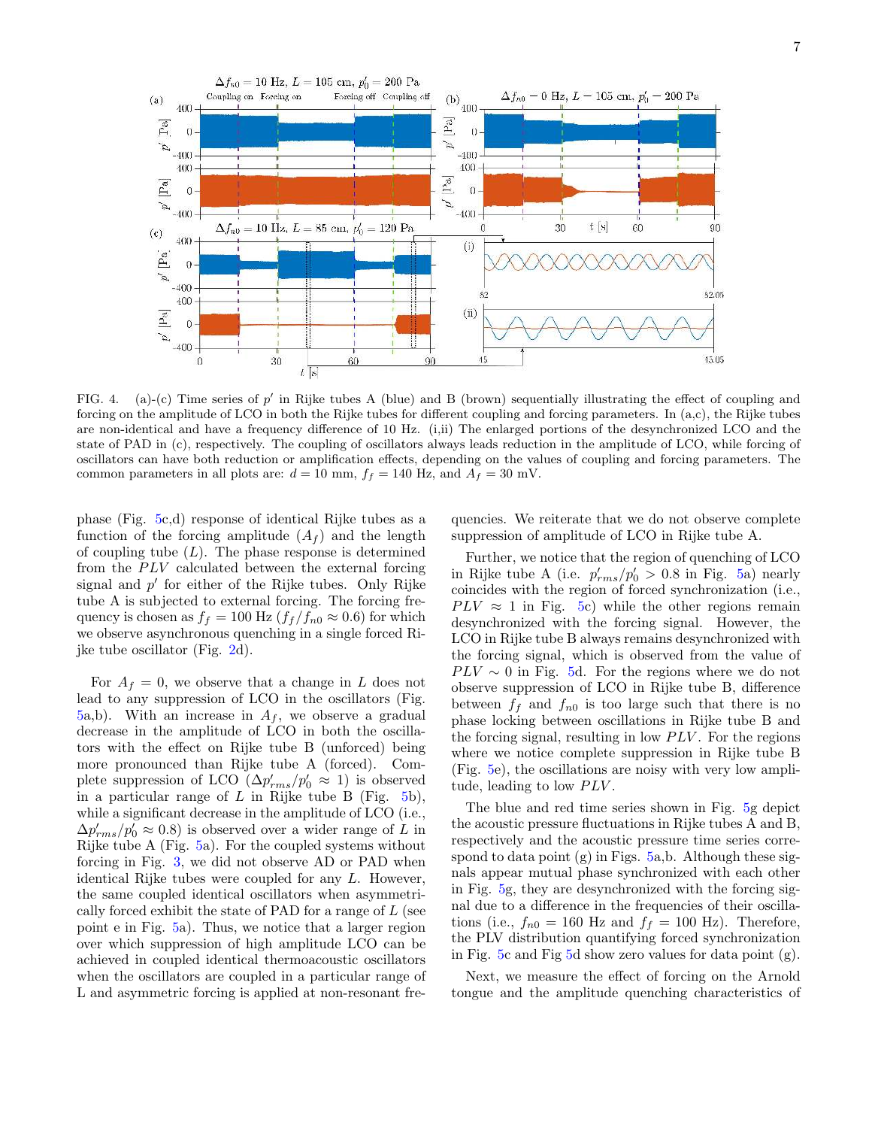

FIG. 4. (a)-(c) Time series of  $p'$  in Rijke tubes A (blue) and B (brown) sequentially illustrating the effect of coupling and forcing on the amplitude of LCO in both the Rijke tubes for different coupling and forcing parameters. In (a,c), the Rijke tubes are non-identical and have a frequency difference of 10 Hz. (i,ii) The enlarged portions of the desynchronized LCO and the state of PAD in (c), respectively. The coupling of oscillators always leads reduction in the amplitude of LCO, while forcing of oscillators can have both reduction or amplification effects, depending on the values of coupling and forcing parameters. The common parameters in all plots are:  $d = 10$  mm,  $f_f = 140$  Hz, and  $A_f = 30$  mV.

phase (Fig. 5c,d) response of identical Rijke tubes as a function of the forcing amplitude  $(A_f)$  and the length of coupling tube  $(L)$ . The phase response is determined from the  $PLV$  calculated between the external forcing signal and  $p'$  for either of the Rijke tubes. Only Rijke tube A is subjected to external forcing. The forcing frequency is chosen as  $f_f = 100$  Hz  $(f_f/f_{n0} \approx 0.6)$  for which we observe asynchronous quenching in a single forced Rijke tube oscillator (Fig. 2d).

For  $A_f = 0$ , we observe that a change in L does not lead to any suppression of LCO in the oscillators (Fig. 5a,b). With an increase in  $A_f$ , we observe a gradual decrease in the amplitude of LCO in both the oscillators with the effect on Rijke tube B (unforced) being more pronounced than Rijke tube A (forced). Complete suppression of LCO  $(\Delta p'_{rms}/p'_0 \approx 1)$  is observed in a particular range of  $L$  in Rijke tube B (Fig. 5b), while a significant decrease in the amplitude of LCO (i.e.,  $\Delta p'_{rms}/p'_0 \approx 0.8$ ) is observed over a wider range of L in Rijke tube A (Fig. 5a). For the coupled systems without forcing in Fig. 3, we did not observe AD or PAD when identical Rijke tubes were coupled for any L. However, the same coupled identical oscillators when asymmetrically forced exhibit the state of PAD for a range of L (see point e in Fig. 5a). Thus, we notice that a larger region over which suppression of high amplitude LCO can be achieved in coupled identical thermoacoustic oscillators when the oscillators are coupled in a particular range of L and asymmetric forcing is applied at non-resonant fre-

quencies. We reiterate that we do not observe complete suppression of amplitude of LCO in Rijke tube A.

Further, we notice that the region of quenching of LCO in Rijke tube A (i.e.  $p'_{rms}/p'_0 > 0.8$  in Fig. 5a) nearly coincides with the region of forced synchronization (i.e.,  $PLV \approx 1$  in Fig. 5c) while the other regions remain desynchronized with the forcing signal. However, the LCO in Rijke tube B always remains desynchronized with the forcing signal, which is observed from the value of  $PLV \sim 0$  in Fig. 5d. For the regions where we do not observe suppression of LCO in Rijke tube B, difference between  $f_f$  and  $f_{n0}$  is too large such that there is no phase locking between oscillations in Rijke tube B and the forcing signal, resulting in low  $PLV$ . For the regions where we notice complete suppression in Rijke tube B (Fig. 5e), the oscillations are noisy with very low amplitude, leading to low  $PLV$ .

The blue and red time series shown in Fig. 5g depict the acoustic pressure fluctuations in Rijke tubes A and B, respectively and the acoustic pressure time series correspond to data point  $(g)$  in Figs. 5a,b. Although these signals appear mutual phase synchronized with each other in Fig. 5g, they are desynchronized with the forcing signal due to a difference in the frequencies of their oscillations (i.e.,  $f_{n0} = 160$  Hz and  $f_f = 100$  Hz). Therefore, the PLV distribution quantifying forced synchronization in Fig. 5c and Fig  $5d$  show zero values for data point  $(g)$ .

Next, we measure the effect of forcing on the Arnold tongue and the amplitude quenching characteristics of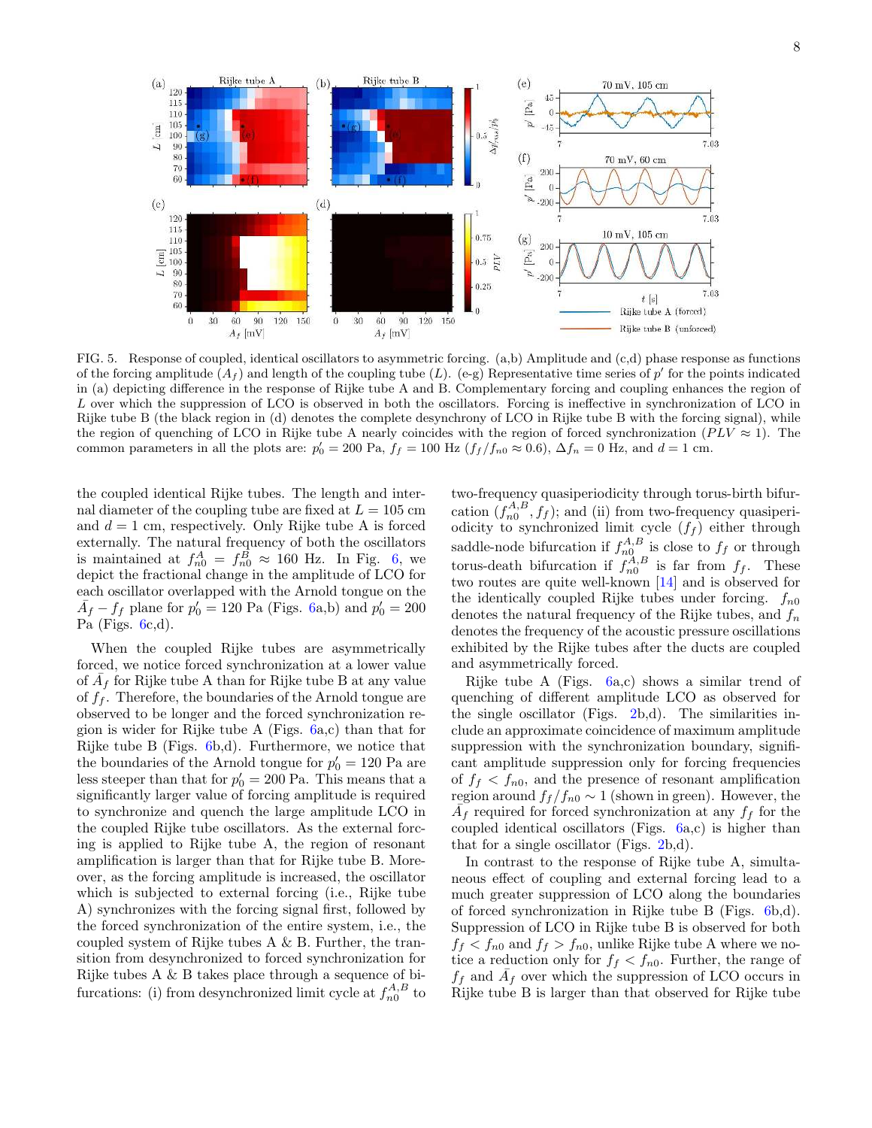

FIG. 5. Response of coupled, identical oscillators to asymmetric forcing. (a,b) Amplitude and (c,d) phase response as functions of the forcing amplitude  $(A_f)$  and length of the coupling tube (L). (e-g) Representative time series of p' for the points indicated in (a) depicting difference in the response of Rijke tube A and B. Complementary forcing and coupling enhances the region of L over which the suppression of LCO is observed in both the oscillators. Forcing is ineffective in synchronization of LCO in Rijke tube B (the black region in (d) denotes the complete desynchrony of LCO in Rijke tube B with the forcing signal), while the region of quenching of LCO in Rijke tube A nearly coincides with the region of forced synchronization ( $PLV \approx 1$ ). The common parameters in all the plots are:  $p'_0 = 200$  Pa,  $f_f = 100$  Hz  $(f_f/f_{n0} \approx 0.6)$ ,  $\Delta f_n = 0$  Hz, and  $d = 1$  cm.

the coupled identical Rijke tubes. The length and internal diameter of the coupling tube are fixed at  $L = 105$  cm and  $d = 1$  cm, respectively. Only Rijke tube A is forced externally. The natural frequency of both the oscillators is maintained at  $f_{n0}^A = f_{n0}^B \approx 160$  Hz. In Fig. 6, we depict the fractional change in the amplitude of LCO for each oscillator overlapped with the Arnold tongue on the  $\overline{A}_f - f_f$  plane for  $p'_0 = 120$  Pa (Figs. 6a,b) and  $p'_0 = 200$ Pa (Figs.  $6c,d$ ).

When the coupled Rijke tubes are asymmetrically forced, we notice forced synchronization at a lower value of  $\overline{A}_f$  for Rijke tube A than for Rijke tube B at any value of  $f_f$ . Therefore, the boundaries of the Arnold tongue are observed to be longer and the forced synchronization region is wider for Rijke tube A (Figs. 6a,c) than that for Rijke tube B (Figs. 6b,d). Furthermore, we notice that the boundaries of the Arnold tongue for  $p'_0 = 120$  Pa are less steeper than that for  $p'_0 = 200$  Pa. This means that a significantly larger value of forcing amplitude is required to synchronize and quench the large amplitude LCO in the coupled Rijke tube oscillators. As the external forcing is applied to Rijke tube A, the region of resonant amplification is larger than that for Rijke tube B. Moreover, as the forcing amplitude is increased, the oscillator which is subjected to external forcing (i.e., Rijke tube A) synchronizes with the forcing signal first, followed by the forced synchronization of the entire system, i.e., the coupled system of Rijke tubes A & B. Further, the transition from desynchronized to forced synchronization for Rijke tubes A & B takes place through a sequence of bifurcations: (i) from desynchronized limit cycle at  $f_{n0}^{A,B}$  to

two-frequency quasiperiodicity through torus-birth bifurcation  $(f_{n0}^{A,B}, f_f)$ ; and (ii) from two-frequency quasiperiodicity to synchronized limit cycle  $(f_f)$  either through saddle-node bifurcation if  $f_{n0}^{A,B}$  is close to  $f_f$  or through torus-death bifurcation if  $f_{n0}^{A,B}$  is far from  $f_f$ . These two routes are quite well-known [14] and is observed for the identically coupled Rijke tubes under forcing.  $f_{n0}$ denotes the natural frequency of the Rijke tubes, and  $f_n$ denotes the frequency of the acoustic pressure oscillations exhibited by the Rijke tubes after the ducts are coupled and asymmetrically forced.

Rijke tube A (Figs. 6a,c) shows a similar trend of quenching of different amplitude LCO as observed for the single oscillator (Figs. 2b,d). The similarities include an approximate coincidence of maximum amplitude suppression with the synchronization boundary, significant amplitude suppression only for forcing frequencies of  $f_f < f_{n0}$ , and the presence of resonant amplification region around  $f_f/f_{n0} \sim 1$  (shown in green). However, the  $\overline{A}_f$  required for forced synchronization at any  $f_f$  for the coupled identical oscillators (Figs. 6a,c) is higher than that for a single oscillator (Figs. 2b,d).

In contrast to the response of Rijke tube A, simultaneous effect of coupling and external forcing lead to a much greater suppression of LCO along the boundaries of forced synchronization in Rijke tube B (Figs. 6b,d). Suppression of LCO in Rijke tube B is observed for both  $f_f < f_{n0}$  and  $f_f > f_{n0}$ , unlike Rijke tube A where we notice a reduction only for  $f_f < f_{n0}$ . Further, the range of  $f_f$  and  $\overline{A}_f$  over which the suppression of LCO occurs in Rijke tube B is larger than that observed for Rijke tube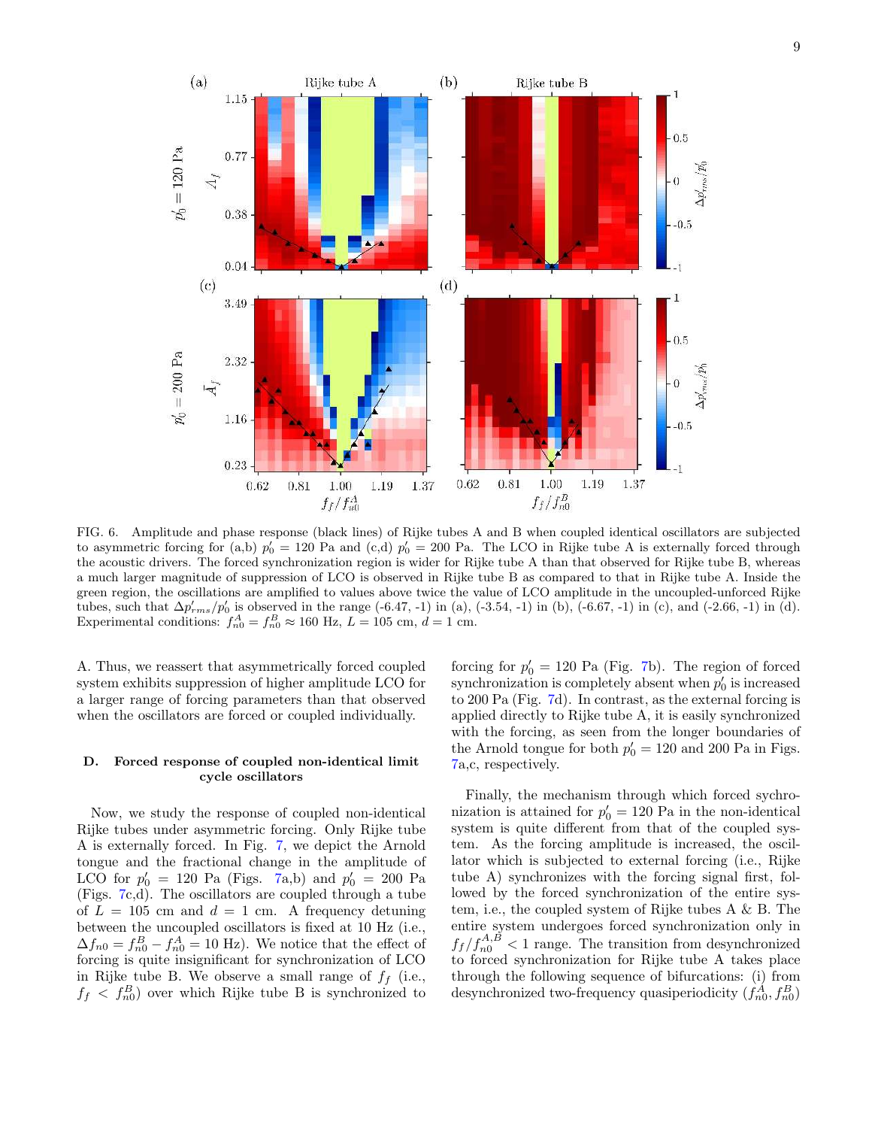

FIG. 6. Amplitude and phase response (black lines) of Rijke tubes A and B when coupled identical oscillators are subjected to asymmetric forcing for (a,b)  $p'_0 = 120$  Pa and (c,d)  $p'_0 = 200$  Pa. The LCO in Rijke tube A is externally forced through the acoustic drivers. The forced synchronization region is wider for Rijke tube A than that observed for Rijke tube B, whereas a much larger magnitude of suppression of LCO is observed in Rijke tube B as compared to that in Rijke tube A. Inside the green region, the oscillations are amplified to values above twice the value of LCO amplitude in the uncoupled-unforced Rijke tubes, such that  $\Delta p'_{rms}/p'_0$  is observed in the range (-6.47, -1) in (a), (-3.54, -1) in (b), (-6.67, -1) in (c), and (-2.66, -1) in (d). Experimental conditions:  $f_{n0}^A = f_{n0}^B \approx 160$  Hz,  $L = 105$  cm,  $d = 1$  cm.

A. Thus, we reassert that asymmetrically forced coupled system exhibits suppression of higher amplitude LCO for a larger range of forcing parameters than that observed when the oscillators are forced or coupled individually.

### D. Forced response of coupled non-identical limit cycle oscillators

Now, we study the response of coupled non-identical Rijke tubes under asymmetric forcing. Only Rijke tube A is externally forced. In Fig. 7, we depict the Arnold tongue and the fractional change in the amplitude of LCO for  $p'_0 = 120$  Pa (Figs. 7a,b) and  $p'_0 = 200$  Pa (Figs. 7c,d). The oscillators are coupled through a tube of  $L = 105$  cm and  $d = 1$  cm. A frequency detuning between the uncoupled oscillators is fixed at 10 Hz (i.e.,  $\Delta f_{n0} = f_{n0}^B - f_{n0}^A = 10$  Hz). We notice that the effect of forcing is quite insignificant for synchronization of LCO in Rijke tube B. We observe a small range of  $f_f$  (i.e.,  $f_f < f_{n0}^B$  over which Rijke tube B is synchronized to

forcing for  $p'_0 = 120$  Pa (Fig. 7b). The region of forced synchronization is completely absent when  $p'_0$  is increased to 200 Pa (Fig. 7d). In contrast, as the external forcing is applied directly to Rijke tube A, it is easily synchronized with the forcing, as seen from the longer boundaries of the Arnold tongue for both  $p'_0 = 120$  and 200 Pa in Figs. 7a,c, respectively.

Finally, the mechanism through which forced sychronization is attained for  $p'_0 = 120$  Pa in the non-identical system is quite different from that of the coupled system. As the forcing amplitude is increased, the oscillator which is subjected to external forcing (i.e., Rijke tube A) synchronizes with the forcing signal first, followed by the forced synchronization of the entire system, i.e., the coupled system of Rijke tubes A & B. The entire system undergoes forced synchronization only in  $f_f / f_{n0}^{A,B} < 1$  range. The transition from desynchronized to forced synchronization for Rijke tube A takes place through the following sequence of bifurcations: (i) from desynchronized two-frequency quasiperiodicity  $(f_{n0}^A, f_{n0}^B)$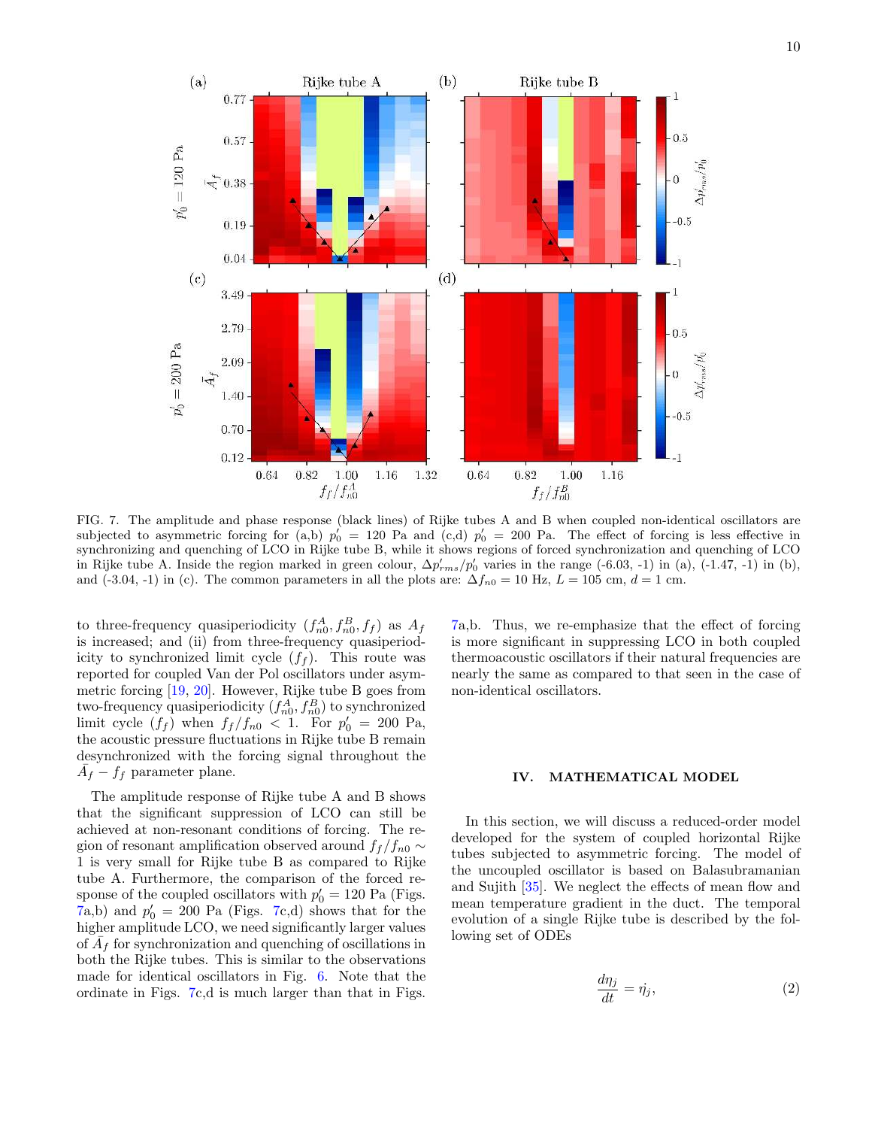

FIG. 7. The amplitude and phase response (black lines) of Rijke tubes A and B when coupled non-identical oscillators are subjected to asymmetric forcing for (a,b)  $p'_0 = 120$  Pa and (c,d)  $p'_0 = 200$  Pa. The effect of forcing is less effective in synchronizing and quenching of LCO in Rijke tube B, while it shows regions of forced synchronization and quenching of LCO in Rijke tube A. Inside the region marked in green colour,  $\Delta p'_{rms}/p'_0$  varies in the range (-6.03, -1) in (a), (-1.47, -1) in (b), and (-3.04, -1) in (c). The common parameters in all the plots are:  $\Delta f_{n0} = 10$  Hz,  $L = 105$  cm,  $d = 1$  cm.

to three-frequency quasiperiodicity  $(f_{n0}^A, f_{n0}^B, f_f)$  as  $A_f$ is increased; and (ii) from three-frequency quasiperiodicity to synchronized limit cycle  $(f_f)$ . This route was reported for coupled Van der Pol oscillators under asymmetric forcing [19, 20]. However, Rijke tube B goes from two-frequency quasiperiodicity  $(f_{n0}^A, f_{n0}^B)$  to synchronized limit cycle  $(f_f)$  when  $f_f/f_{n0} < 1$ . For  $p'_0 = 200$  Pa, the acoustic pressure fluctuations in Rijke tube B remain desynchronized with the forcing signal throughout the  $\overline{A}_f - f_f$  parameter plane.

The amplitude response of Rijke tube A and B shows that the significant suppression of LCO can still be achieved at non-resonant conditions of forcing. The region of resonant amplification observed around  $f_f/f_{n0} \sim$ 1 is very small for Rijke tube B as compared to Rijke tube A. Furthermore, the comparison of the forced response of the coupled oscillators with  $p'_0 = 120$  Pa (Figs.  $(7a,b)$  and  $p'_0 = 200$  Pa (Figs. 7c,d) shows that for the higher amplitude LCO, we need significantly larger values of  $\overline{A}_f$  for synchronization and quenching of oscillations in both the Rijke tubes. This is similar to the observations made for identical oscillators in Fig. 6. Note that the ordinate in Figs. 7c,d is much larger than that in Figs.

7a,b. Thus, we re-emphasize that the effect of forcing is more significant in suppressing LCO in both coupled thermoacoustic oscillators if their natural frequencies are nearly the same as compared to that seen in the case of non-identical oscillators.

### IV. MATHEMATICAL MODEL

In this section, we will discuss a reduced-order model developed for the system of coupled horizontal Rijke tubes subjected to asymmetric forcing. The model of the uncoupled oscillator is based on Balasubramanian and Sujith [35]. We neglect the effects of mean flow and mean temperature gradient in the duct. The temporal evolution of a single Rijke tube is described by the following set of ODEs

$$
\frac{d\eta_j}{dt} = \dot{\eta}_j,\tag{2}
$$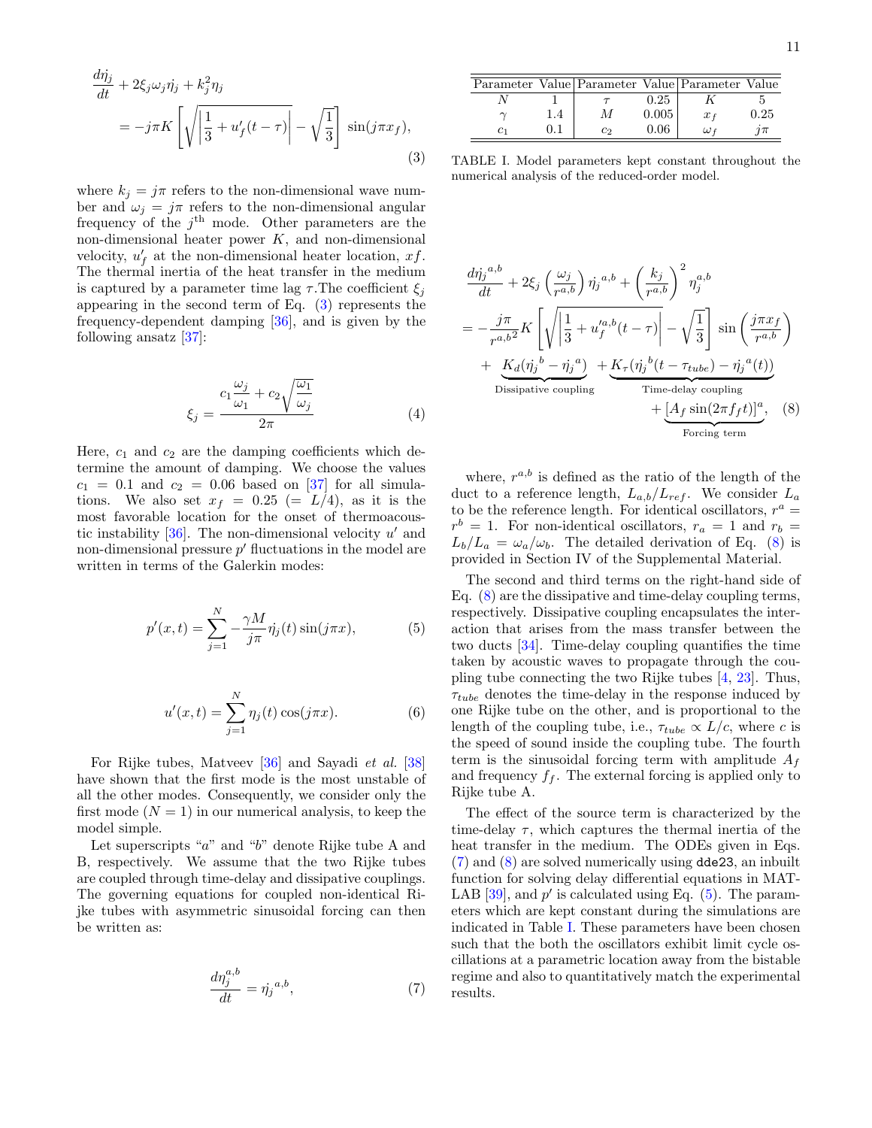$$
\frac{d\eta_j}{dt} + 2\xi_j \omega_j \eta_j + k_j^2 \eta_j
$$
\n
$$
= -j\pi K \left[ \sqrt{\left| \frac{1}{3} + u'_f(t-\tau) \right|} - \sqrt{\frac{1}{3}} \right] \sin(j\pi x_f),
$$
\n(3)

where  $k_j = j\pi$  refers to the non-dimensional wave number and  $\omega_j = j\pi$  refers to the non-dimensional angular frequency of the  $j<sup>th</sup>$  mode. Other parameters are the non-dimensional heater power  $K$ , and non-dimensional velocity,  $u'_f$  at the non-dimensional heater location, xf. The thermal inertia of the heat transfer in the medium is captured by a parameter time lag  $\tau$ . The coefficient  $\xi_i$ appearing in the second term of Eq. (3) represents the frequency-dependent damping [36], and is given by the following ansatz [37]:

$$
\xi_j = \frac{c_1 \frac{\omega_j}{\omega_1} + c_2 \sqrt{\frac{\omega_1}{\omega_j}}}{2\pi} \tag{4}
$$

Here,  $c_1$  and  $c_2$  are the damping coefficients which determine the amount of damping. We choose the values  $c_1 = 0.1$  and  $c_2 = 0.06$  based on [37] for all simulations. We also set  $x_f = 0.25 (= L/4)$ , as it is the most favorable location for the onset of thermoacoustic instability  $[36]$ . The non-dimensional velocity  $u'$  and non-dimensional pressure  $p'$  fluctuations in the model are written in terms of the Galerkin modes:

$$
p'(x,t) = \sum_{j=1}^{N} -\frac{\gamma M}{j\pi} \dot{\eta}_j(t) \sin(j\pi x), \tag{5}
$$

$$
u'(x,t) = \sum_{j=1}^{N} \eta_j(t) \cos(j\pi x).
$$
 (6)

For Rijke tubes, Matveev [36] and Sayadi et al. [38] have shown that the first mode is the most unstable of all the other modes. Consequently, we consider only the first mode  $(N = 1)$  in our numerical analysis, to keep the model simple.

Let superscripts "a" and "b" denote Rijke tube A and B, respectively. We assume that the two Rijke tubes are coupled through time-delay and dissipative couplings. The governing equations for coupled non-identical Rijke tubes with asymmetric sinusoidal forcing can then be written as:

$$
\frac{d\eta_j^{a,b}}{dt} = \dot{\eta_j}^{a,b},\tag{7}
$$

TABLE I. Model parameters kept constant throughout the numerical analysis of the reduced-order model.

$$
\frac{d\dot{\eta}_j^{a,b}}{dt} + 2\xi_j \left(\frac{\omega_j}{r^{a,b}}\right) \dot{\eta}_j^{a,b} + \left(\frac{k_j}{r^{a,b}}\right)^2 \eta_j^{a,b}
$$
\n
$$
= -\frac{j\pi}{r^{a,b^2}} K \left[ \sqrt{\left|\frac{1}{3} + u_f^{'a,b}(t-\tau)\right|} - \sqrt{\frac{1}{3}} \right] \sin\left(\frac{j\pi x_f}{r^{a,b}}\right)
$$
\n
$$
+ \underbrace{K_d(\dot{\eta}_j^b - \dot{\eta}_j^a)}_{\text{Dissipative coupling}} + \underbrace{K_\tau(\dot{\eta}_j^b(t-\tau_{tube}) - \dot{\eta}_j^a(t))}_{\text{Time-delay coupling}} + \underbrace{[A_f \sin(2\pi f_f t)]^a}_{\text{Forcing term}}, \quad (8)
$$

where,  $r^{a,b}$  is defined as the ratio of the length of the duct to a reference length,  $L_{a,b}/L_{ref}$ . We consider  $L_a$ to be the reference length. For identical oscillators,  $r^a$  =  $r^b = 1$ . For non-identical oscillators,  $r_a = 1$  and  $r_b =$  $L_b/L_a = \omega_a/\omega_b$ . The detailed derivation of Eq. (8) is provided in Section IV of the Supplemental Material.

The second and third terms on the right-hand side of Eq. (8) are the dissipative and time-delay coupling terms, respectively. Dissipative coupling encapsulates the interaction that arises from the mass transfer between the two ducts [34]. Time-delay coupling quantifies the time taken by acoustic waves to propagate through the coupling tube connecting the two Rijke tubes [4, 23]. Thus,  $\tau_{tube}$  denotes the time-delay in the response induced by one Rijke tube on the other, and is proportional to the length of the coupling tube, i.e.,  $\tau_{tube} \propto L/c$ , where c is the speed of sound inside the coupling tube. The fourth term is the sinusoidal forcing term with amplitude  $A_f$ and frequency  $f_f$ . The external forcing is applied only to Rijke tube A.

The effect of the source term is characterized by the time-delay  $\tau$ , which captures the thermal inertia of the heat transfer in the medium. The ODEs given in Eqs. (7) and (8) are solved numerically using dde23, an inbuilt function for solving delay differential equations in MAT-LAB [39], and  $p'$  is calculated using Eq.  $(5)$ . The parameters which are kept constant during the simulations are indicated in Table I. These parameters have been chosen such that the both the oscillators exhibit limit cycle oscillations at a parametric location away from the bistable regime and also to quantitatively match the experimental results.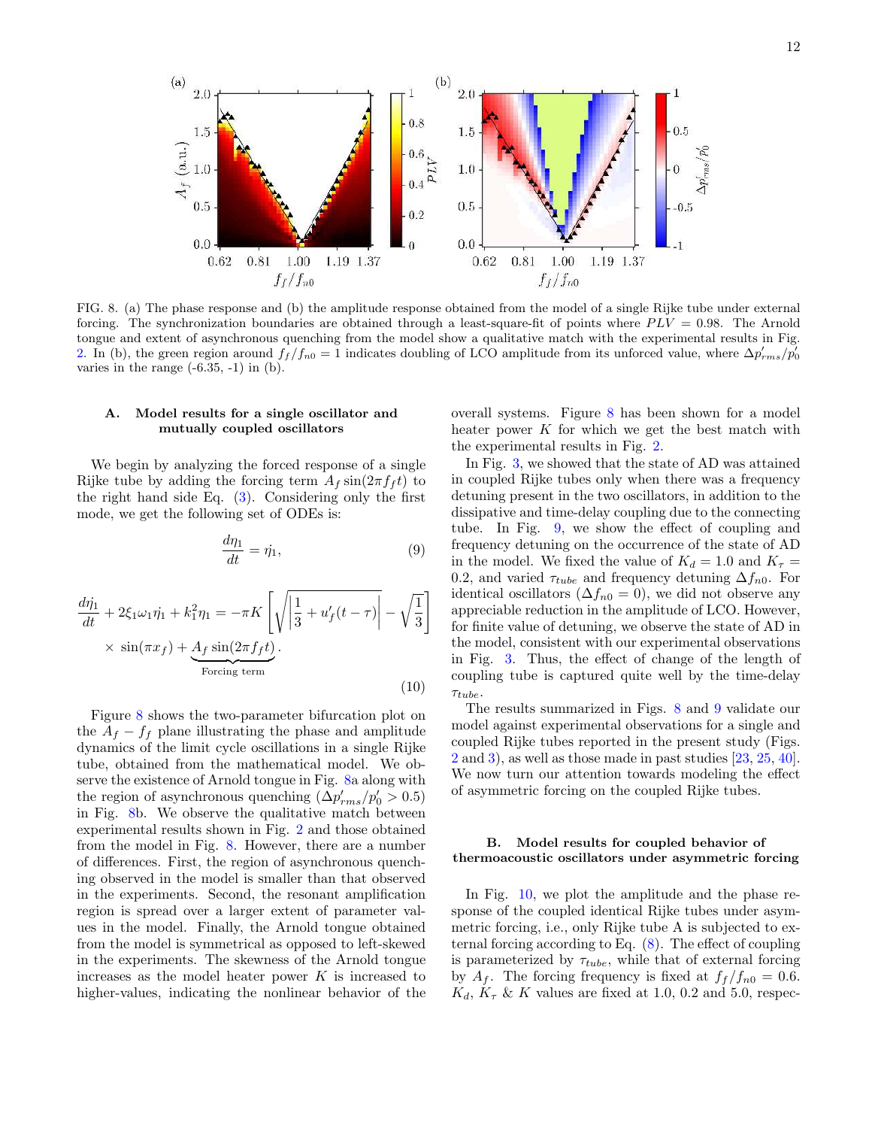

FIG. 8. (a) The phase response and (b) the amplitude response obtained from the model of a single Rijke tube under external forcing. The synchronization boundaries are obtained through a least-square-fit of points where  $PLV = 0.98$ . The Arnold tongue and extent of asynchronous quenching from the model show a qualitative match with the experimental results in Fig. 2. In (b), the green region around  $f_f/f_{n0} = 1$  indicates doubling of LCO amplitude from its unforced value, where  $\Delta p'_{rms}/p'_0$ varies in the range  $(-6.35, -1)$  in  $(b)$ .

### A. Model results for a single oscillator and mutually coupled oscillators

We begin by analyzing the forced response of a single Rijke tube by adding the forcing term  $A_f \sin(2\pi f_f t)$  to the right hand side Eq. (3). Considering only the first mode, we get the following set of ODEs is:

$$
\frac{d\eta_1}{dt} = \dot{\eta}_1,\tag{9}
$$

$$
\frac{d\dot{\eta}_1}{dt} + 2\xi_1\omega_1\dot{\eta}_1 + k_1^2\eta_1 = -\pi K \left[ \sqrt{\left| \frac{1}{3} + u_f'(t-\tau) \right|} - \sqrt{\frac{1}{3}} \right] \times \sin(\pi x_f) + \underbrace{A_f \sin(2\pi f_f t)}_{\text{Forcing term}}.
$$
\n(10)

Figure 8 shows the two-parameter bifurcation plot on the  $A_f - f_f$  plane illustrating the phase and amplitude dynamics of the limit cycle oscillations in a single Rijke tube, obtained from the mathematical model. We observe the existence of Arnold tongue in Fig. 8a along with the region of asynchronous quenching  $(\Delta p'_{rms}/p'_0 > 0.5)$ in Fig. 8b. We observe the qualitative match between experimental results shown in Fig. 2 and those obtained from the model in Fig. 8. However, there are a number of differences. First, the region of asynchronous quenching observed in the model is smaller than that observed in the experiments. Second, the resonant amplification region is spread over a larger extent of parameter values in the model. Finally, the Arnold tongue obtained from the model is symmetrical as opposed to left-skewed in the experiments. The skewness of the Arnold tongue increases as the model heater power  $K$  is increased to higher-values, indicating the nonlinear behavior of the

overall systems. Figure 8 has been shown for a model heater power  $K$  for which we get the best match with the experimental results in Fig. 2.

In Fig. 3, we showed that the state of AD was attained in coupled Rijke tubes only when there was a frequency detuning present in the two oscillators, in addition to the dissipative and time-delay coupling due to the connecting tube. In Fig. 9, we show the effect of coupling and frequency detuning on the occurrence of the state of AD in the model. We fixed the value of  $K_d = 1.0$  and  $K_\tau =$ 0.2, and varied  $\tau_{tube}$  and frequency detuning  $\Delta f_{n0}$ . For identical oscillators ( $\Delta f_{n0} = 0$ ), we did not observe any appreciable reduction in the amplitude of LCO. However, for finite value of detuning, we observe the state of AD in the model, consistent with our experimental observations in Fig. 3. Thus, the effect of change of the length of coupling tube is captured quite well by the time-delay  $\tau_{tube}.$ 

The results summarized in Figs. 8 and 9 validate our model against experimental observations for a single and coupled Rijke tubes reported in the present study (Figs. 2 and 3), as well as those made in past studies [23, 25, 40]. We now turn our attention towards modeling the effect of asymmetric forcing on the coupled Rijke tubes.

### B. Model results for coupled behavior of thermoacoustic oscillators under asymmetric forcing

In Fig. 10, we plot the amplitude and the phase response of the coupled identical Rijke tubes under asymmetric forcing, i.e., only Rijke tube A is subjected to external forcing according to Eq. (8). The effect of coupling is parameterized by  $\tau_{tube}$ , while that of external forcing by  $A_f$ . The forcing frequency is fixed at  $f_f/f_{n0} = 0.6$ .  $K_d$ ,  $K_\tau$  & K values are fixed at 1.0, 0.2 and 5.0, respec-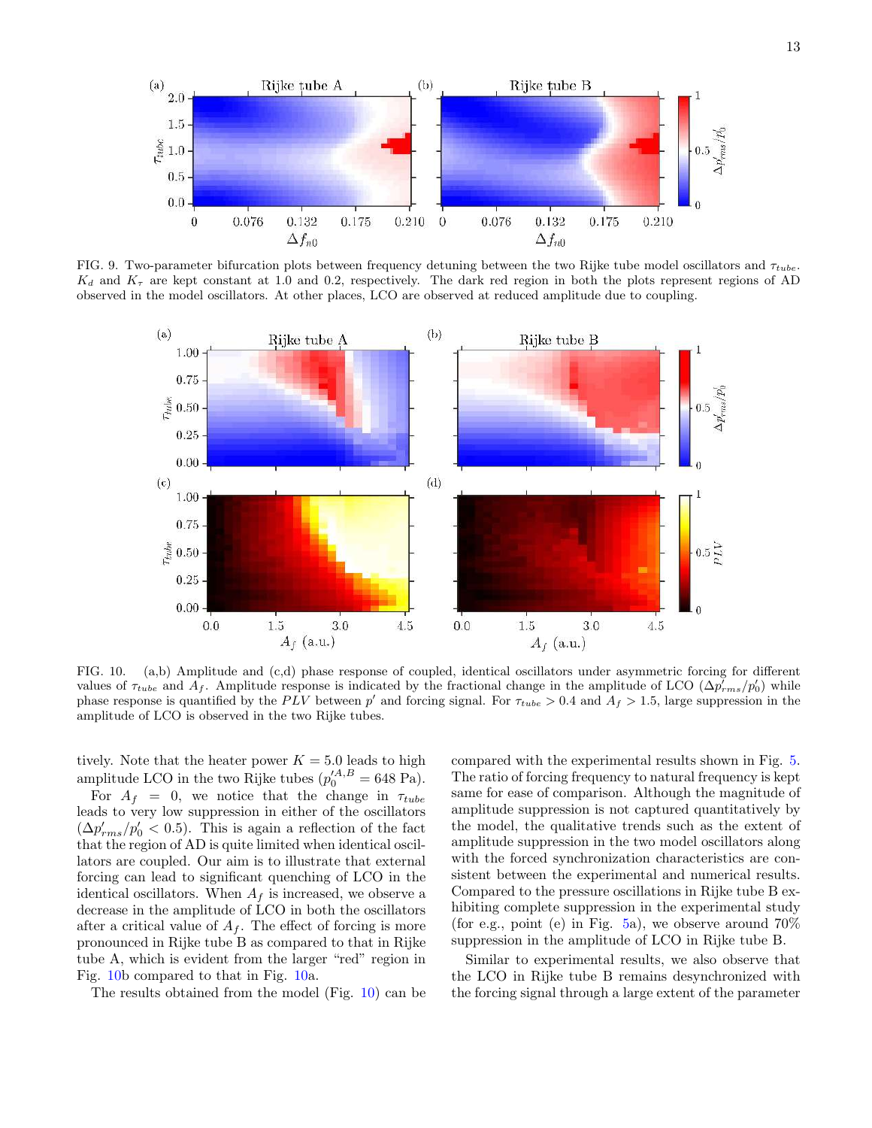

FIG. 9. Two-parameter bifurcation plots between frequency detuning between the two Rijke tube model oscillators and  $\tau_{tube}$ .  $K_d$  and  $K_{\tau}$  are kept constant at 1.0 and 0.2, respectively. The dark red region in both the plots represent regions of AD observed in the model oscillators. At other places, LCO are observed at reduced amplitude due to coupling.



FIG. 10. (a,b) Amplitude and (c,d) phase response of coupled, identical oscillators under asymmetric forcing for different values of  $\tau_{tube}$  and  $A_f$ . Amplitude response is indicated by the fractional change in the amplitude of LCO ( $\Delta p'_{rms}/p'_0$ ) while phase response is quantified by the PLV between p' and forcing signal. For  $\tau_{tube} > 0.4$  and  $A_f > 1.5$ , large suppression in the amplitude of LCO is observed in the two Rijke tubes.

tively. Note that the heater power  $K = 5.0$  leads to high amplitude LCO in the two Rijke tubes  $(p_0^{\prime A,B} = 648 \text{ Pa}).$ 

For  $A_f = 0$ , we notice that the change in  $\tau_{tube}$ leads to very low suppression in either of the oscillators  $(\Delta p'_{rms}/p'_0 < 0.5)$ . This is again a reflection of the fact that the region of AD is quite limited when identical oscillators are coupled. Our aim is to illustrate that external forcing can lead to significant quenching of LCO in the identical oscillators. When  $A_f$  is increased, we observe a decrease in the amplitude of LCO in both the oscillators after a critical value of  $A_f$ . The effect of forcing is more pronounced in Rijke tube B as compared to that in Rijke tube A, which is evident from the larger "red" region in Fig. 10b compared to that in Fig. 10a.

The results obtained from the model (Fig. 10) can be

compared with the experimental results shown in Fig. 5. The ratio of forcing frequency to natural frequency is kept same for ease of comparison. Although the magnitude of amplitude suppression is not captured quantitatively by the model, the qualitative trends such as the extent of amplitude suppression in the two model oscillators along with the forced synchronization characteristics are consistent between the experimental and numerical results. Compared to the pressure oscillations in Rijke tube B exhibiting complete suppression in the experimental study (for e.g., point (e) in Fig. 5a), we observe around  $70\%$ suppression in the amplitude of LCO in Rijke tube B.

Similar to experimental results, we also observe that the LCO in Rijke tube B remains desynchronized with the forcing signal through a large extent of the parameter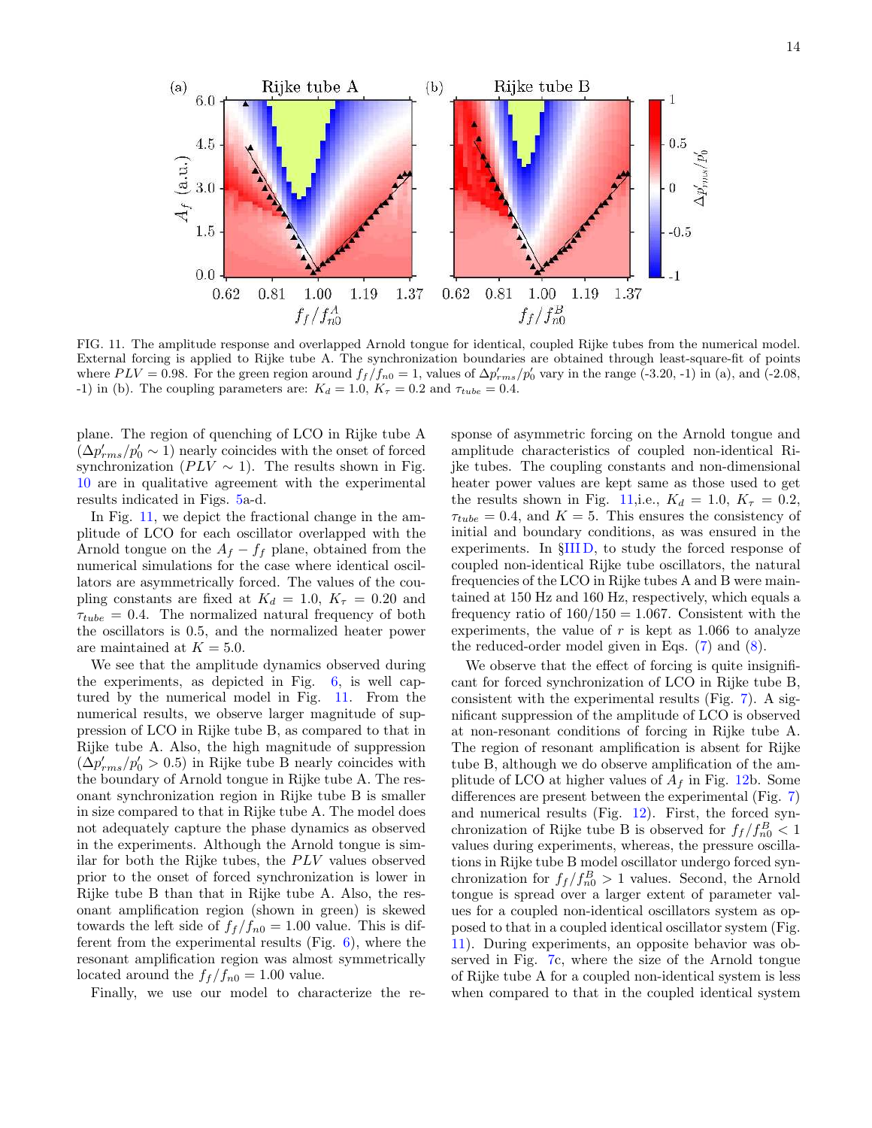

FIG. 11. The amplitude response and overlapped Arnold tongue for identical, coupled Rijke tubes from the numerical model. External forcing is applied to Rijke tube A. The synchronization boundaries are obtained through least-square-fit of points where  $PLV = 0.98$ . For the green region around  $f_f/f_{n0} = 1$ , values of  $\Delta p'_{rms}/p'_0$  vary in the range (-3.20, -1) in (a), and (-2.08, -1) in (b). The coupling parameters are:  $K_d = 1.0$ ,  $K_{\tau} = 0.2$  and  $\tau_{tube} = 0.4$ .

plane. The region of quenching of LCO in Rijke tube A  $(\Delta p'_{rms}/p'_0 \sim 1)$  nearly coincides with the onset of forced synchronization ( $PLV \sim 1$ ). The results shown in Fig. 10 are in qualitative agreement with the experimental results indicated in Figs. 5a-d.

In Fig. 11, we depict the fractional change in the amplitude of LCO for each oscillator overlapped with the Arnold tongue on the  $A_f - f_f$  plane, obtained from the numerical simulations for the case where identical oscillators are asymmetrically forced. The values of the coupling constants are fixed at  $K_d = 1.0, K_\tau = 0.20$  and  $\tau_{tube} = 0.4.$  The normalized natural frequency of both the oscillators is 0.5, and the normalized heater power are maintained at  $K = 5.0$ .

We see that the amplitude dynamics observed during the experiments, as depicted in Fig. 6, is well captured by the numerical model in Fig. 11. From the numerical results, we observe larger magnitude of suppression of LCO in Rijke tube B, as compared to that in Rijke tube A. Also, the high magnitude of suppression  $(\Delta p'_{rms}/p'_{0} > 0.5)$  in Rijke tube B nearly coincides with the boundary of Arnold tongue in Rijke tube A. The resonant synchronization region in Rijke tube B is smaller in size compared to that in Rijke tube A. The model does not adequately capture the phase dynamics as observed in the experiments. Although the Arnold tongue is similar for both the Rijke tubes, the  $PLV$  values observed prior to the onset of forced synchronization is lower in Rijke tube B than that in Rijke tube A. Also, the resonant amplification region (shown in green) is skewed towards the left side of  $f_f/f_{n0} = 1.00$  value. This is different from the experimental results (Fig. 6), where the resonant amplification region was almost symmetrically located around the  $f_f/f_{n0} = 1.00$  value.

Finally, we use our model to characterize the re-

sponse of asymmetric forcing on the Arnold tongue and amplitude characteristics of coupled non-identical Rijke tubes. The coupling constants and non-dimensional heater power values are kept same as those used to get the results shown in Fig. 11, i.e.,  $K_d = 1.0, K_\tau = 0.2$ ,  $\tau_{tube} = 0.4$ , and  $K = 5$ . This ensures the consistency of initial and boundary conditions, as was ensured in the experiments. In §III D, to study the forced response of coupled non-identical Rijke tube oscillators, the natural frequencies of the LCO in Rijke tubes A and B were maintained at 150 Hz and 160 Hz, respectively, which equals a frequency ratio of  $160/150 = 1.067$ . Consistent with the experiments, the value of  $r$  is kept as 1.066 to analyze the reduced-order model given in Eqs. (7) and (8).

We observe that the effect of forcing is quite insignificant for forced synchronization of LCO in Rijke tube B, consistent with the experimental results (Fig. 7). A significant suppression of the amplitude of LCO is observed at non-resonant conditions of forcing in Rijke tube A. The region of resonant amplification is absent for Rijke tube B, although we do observe amplification of the amplitude of LCO at higher values of  $A_f$  in Fig. 12b. Some differences are present between the experimental (Fig. 7) and numerical results (Fig. 12). First, the forced synchronization of Rijke tube B is observed for  $f_f/f_{n0}^B < 1$ values during experiments, whereas, the pressure oscillations in Rijke tube B model oscillator undergo forced synchronization for  $f_f / f_{n0}^B > 1$  values. Second, the Arnold tongue is spread over a larger extent of parameter values for a coupled non-identical oscillators system as opposed to that in a coupled identical oscillator system (Fig. 11). During experiments, an opposite behavior was observed in Fig. 7c, where the size of the Arnold tongue of Rijke tube A for a coupled non-identical system is less when compared to that in the coupled identical system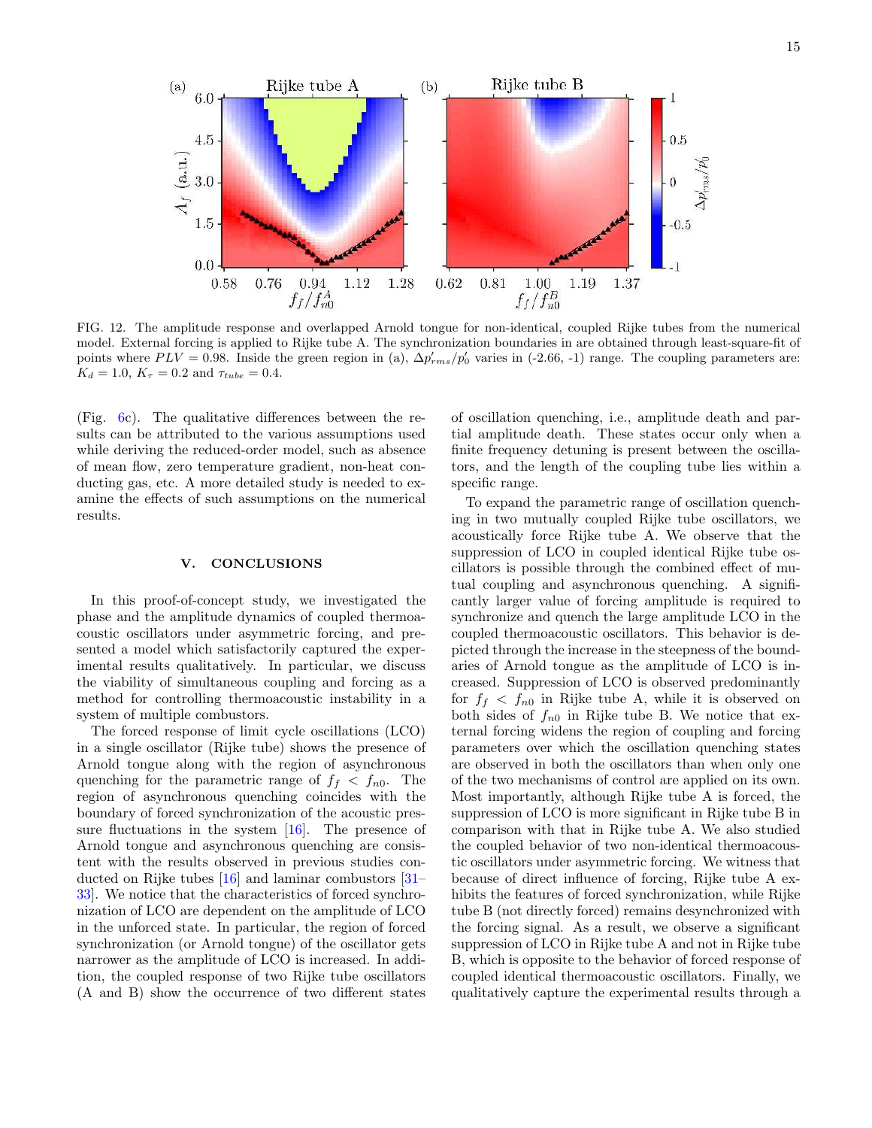

FIG. 12. The amplitude response and overlapped Arnold tongue for non-identical, coupled Rijke tubes from the numerical model. External forcing is applied to Rijke tube A. The synchronization boundaries in are obtained through least-square-fit of points where  $PLV = 0.98$ . Inside the green region in (a),  $\Delta p'_{rms}/p'_0$  varies in (-2.66, -1) range. The coupling parameters are:  $K_d = 1.0, K_\tau = 0.2$  and  $\tau_{tube} = 0.4$ .

(Fig. 6c). The qualitative differences between the results can be attributed to the various assumptions used while deriving the reduced-order model, such as absence of mean flow, zero temperature gradient, non-heat conducting gas, etc. A more detailed study is needed to examine the effects of such assumptions on the numerical results.

### V. CONCLUSIONS

In this proof-of-concept study, we investigated the phase and the amplitude dynamics of coupled thermoacoustic oscillators under asymmetric forcing, and presented a model which satisfactorily captured the experimental results qualitatively. In particular, we discuss the viability of simultaneous coupling and forcing as a method for controlling thermoacoustic instability in a system of multiple combustors.

The forced response of limit cycle oscillations (LCO) in a single oscillator (Rijke tube) shows the presence of Arnold tongue along with the region of asynchronous quenching for the parametric range of  $f_f < f_{n0}$ . The region of asynchronous quenching coincides with the boundary of forced synchronization of the acoustic pressure fluctuations in the system  $[16]$ . The presence of Arnold tongue and asynchronous quenching are consistent with the results observed in previous studies conducted on Rijke tubes [16] and laminar combustors [31– 33]. We notice that the characteristics of forced synchronization of LCO are dependent on the amplitude of LCO in the unforced state. In particular, the region of forced synchronization (or Arnold tongue) of the oscillator gets narrower as the amplitude of LCO is increased. In addition, the coupled response of two Rijke tube oscillators (A and B) show the occurrence of two different states

of oscillation quenching, i.e., amplitude death and partial amplitude death. These states occur only when a finite frequency detuning is present between the oscillators, and the length of the coupling tube lies within a specific range.

To expand the parametric range of oscillation quenching in two mutually coupled Rijke tube oscillators, we acoustically force Rijke tube A. We observe that the suppression of LCO in coupled identical Rijke tube oscillators is possible through the combined effect of mutual coupling and asynchronous quenching. A significantly larger value of forcing amplitude is required to synchronize and quench the large amplitude LCO in the coupled thermoacoustic oscillators. This behavior is depicted through the increase in the steepness of the boundaries of Arnold tongue as the amplitude of LCO is increased. Suppression of LCO is observed predominantly for  $f_f < f_{n0}$  in Rijke tube A, while it is observed on both sides of  $f_{n0}$  in Rijke tube B. We notice that external forcing widens the region of coupling and forcing parameters over which the oscillation quenching states are observed in both the oscillators than when only one of the two mechanisms of control are applied on its own. Most importantly, although Rijke tube A is forced, the suppression of LCO is more significant in Rijke tube B in comparison with that in Rijke tube A. We also studied the coupled behavior of two non-identical thermoacoustic oscillators under asymmetric forcing. We witness that because of direct influence of forcing, Rijke tube A exhibits the features of forced synchronization, while Rijke tube B (not directly forced) remains desynchronized with the forcing signal. As a result, we observe a significant suppression of LCO in Rijke tube A and not in Rijke tube B, which is opposite to the behavior of forced response of coupled identical thermoacoustic oscillators. Finally, we qualitatively capture the experimental results through a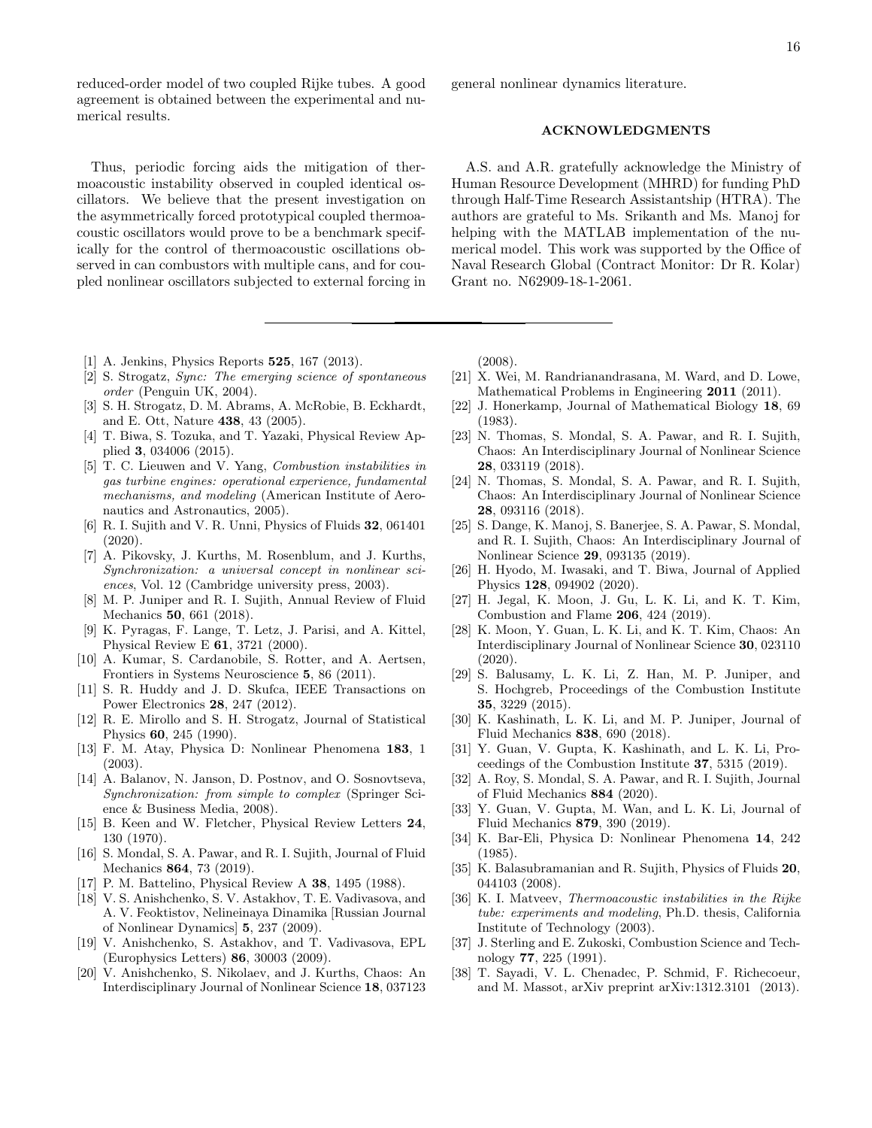reduced-order model of two coupled Rijke tubes. A good agreement is obtained between the experimental and numerical results.

Thus, periodic forcing aids the mitigation of thermoacoustic instability observed in coupled identical oscillators. We believe that the present investigation on the asymmetrically forced prototypical coupled thermoacoustic oscillators would prove to be a benchmark specifically for the control of thermoacoustic oscillations observed in can combustors with multiple cans, and for coupled nonlinear oscillators subjected to external forcing in

- [1] A. Jenkins, Physics Reports **525**, 167 (2013).
- [2] S. Strogatz, Sync: The emerging science of spontaneous order (Penguin UK, 2004).
- [3] S. H. Strogatz, D. M. Abrams, A. McRobie, B. Eckhardt, and E. Ott, Nature 438, 43 (2005).
- [4] T. Biwa, S. Tozuka, and T. Yazaki, Physical Review Applied 3, 034006 (2015).
- [5] T. C. Lieuwen and V. Yang, Combustion instabilities in gas turbine engines: operational experience, fundamental mechanisms, and modeling (American Institute of Aeronautics and Astronautics, 2005).
- [6] R. I. Sujith and V. R. Unni, Physics of Fluids 32, 061401 (2020).
- [7] A. Pikovsky, J. Kurths, M. Rosenblum, and J. Kurths, Synchronization: a universal concept in nonlinear sciences, Vol. 12 (Cambridge university press, 2003).
- [8] M. P. Juniper and R. I. Sujith, Annual Review of Fluid Mechanics 50, 661 (2018).
- [9] K. Pyragas, F. Lange, T. Letz, J. Parisi, and A. Kittel, Physical Review E 61, 3721 (2000).
- [10] A. Kumar, S. Cardanobile, S. Rotter, and A. Aertsen, Frontiers in Systems Neuroscience 5, 86 (2011).
- [11] S. R. Huddy and J. D. Skufca, IEEE Transactions on Power Electronics 28, 247 (2012).
- [12] R. E. Mirollo and S. H. Strogatz, Journal of Statistical Physics 60, 245 (1990).
- [13] F. M. Atay, Physica D: Nonlinear Phenomena 183, 1 (2003).
- [14] A. Balanov, N. Janson, D. Postnov, and O. Sosnovtseva. Synchronization: from simple to complex (Springer Science & Business Media, 2008).
- [15] B. Keen and W. Fletcher, Physical Review Letters 24, 130 (1970).
- [16] S. Mondal, S. A. Pawar, and R. I. Sujith, Journal of Fluid Mechanics 864, 73 (2019).
- [17] P. M. Battelino, Physical Review A 38, 1495 (1988).
- [18] V. S. Anishchenko, S. V. Astakhov, T. E. Vadivasova, and A. V. Feoktistov, Nelineinaya Dinamika [Russian Journal of Nonlinear Dynamics] 5, 237 (2009).
- [19] V. Anishchenko, S. Astakhov, and T. Vadivasova, EPL (Europhysics Letters) 86, 30003 (2009).
- [20] V. Anishchenko, S. Nikolaev, and J. Kurths, Chaos: An Interdisciplinary Journal of Nonlinear Science 18, 037123

general nonlinear dynamics literature.

### ACKNOWLEDGMENTS

A.S. and A.R. gratefully acknowledge the Ministry of Human Resource Development (MHRD) for funding PhD through Half-Time Research Assistantship (HTRA). The authors are grateful to Ms. Srikanth and Ms. Manoj for helping with the MATLAB implementation of the numerical model. This work was supported by the Office of Naval Research Global (Contract Monitor: Dr R. Kolar) Grant no. N62909-18-1-2061.

(2008).

- [21] X. Wei, M. Randrianandrasana, M. Ward, and D. Lowe, Mathematical Problems in Engineering 2011 (2011).
- [22] J. Honerkamp, Journal of Mathematical Biology 18, 69 (1983).
- [23] N. Thomas, S. Mondal, S. A. Pawar, and R. I. Sujith, Chaos: An Interdisciplinary Journal of Nonlinear Science 28, 033119 (2018).
- [24] N. Thomas, S. Mondal, S. A. Pawar, and R. I. Sujith, Chaos: An Interdisciplinary Journal of Nonlinear Science 28, 093116 (2018).
- [25] S. Dange, K. Manoj, S. Banerjee, S. A. Pawar, S. Mondal, and R. I. Sujith, Chaos: An Interdisciplinary Journal of Nonlinear Science 29, 093135 (2019).
- [26] H. Hyodo, M. Iwasaki, and T. Biwa, Journal of Applied Physics 128, 094902 (2020).
- [27] H. Jegal, K. Moon, J. Gu, L. K. Li, and K. T. Kim, Combustion and Flame 206, 424 (2019).
- [28] K. Moon, Y. Guan, L. K. Li, and K. T. Kim, Chaos: An Interdisciplinary Journal of Nonlinear Science 30, 023110 (2020).
- [29] S. Balusamy, L. K. Li, Z. Han, M. P. Juniper, and S. Hochgreb, Proceedings of the Combustion Institute 35, 3229 (2015).
- [30] K. Kashinath, L. K. Li, and M. P. Juniper, Journal of Fluid Mechanics 838, 690 (2018).
- [31] Y. Guan, V. Gupta, K. Kashinath, and L. K. Li, Proceedings of the Combustion Institute 37, 5315 (2019).
- [32] A. Roy, S. Mondal, S. A. Pawar, and R. I. Sujith, Journal of Fluid Mechanics 884 (2020).
- [33] Y. Guan, V. Gupta, M. Wan, and L. K. Li, Journal of Fluid Mechanics 879, 390 (2019).
- [34] K. Bar-Eli, Physica D: Nonlinear Phenomena 14, 242 (1985).
- [35] K. Balasubramanian and R. Sujith, Physics of Fluids 20, 044103 (2008).
- [36] K. I. Matveev, Thermoacoustic instabilities in the Rijke tube: experiments and modeling, Ph.D. thesis, California Institute of Technology (2003).
- [37] J. Sterling and E. Zukoski, Combustion Science and Technology 77, 225 (1991).
- [38] T. Sayadi, V. L. Chenadec, P. Schmid, F. Richecoeur, and M. Massot, arXiv preprint arXiv:1312.3101 (2013).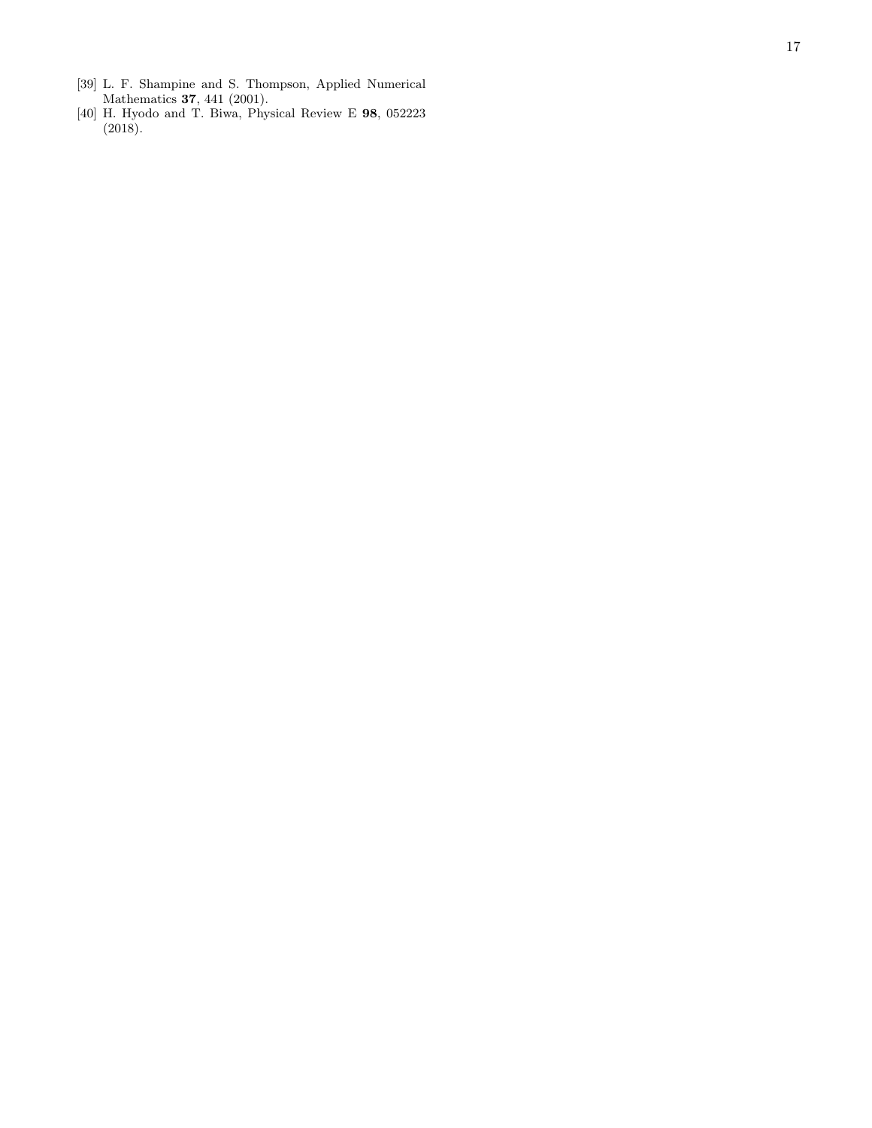- [39] L. F. Shampine and S. Thompson, Applied Numerical Mathematics **37**, 441 (2001).
- [40] H. Hyodo and T. Biwa, Physical Review E 98, 052223 (2018).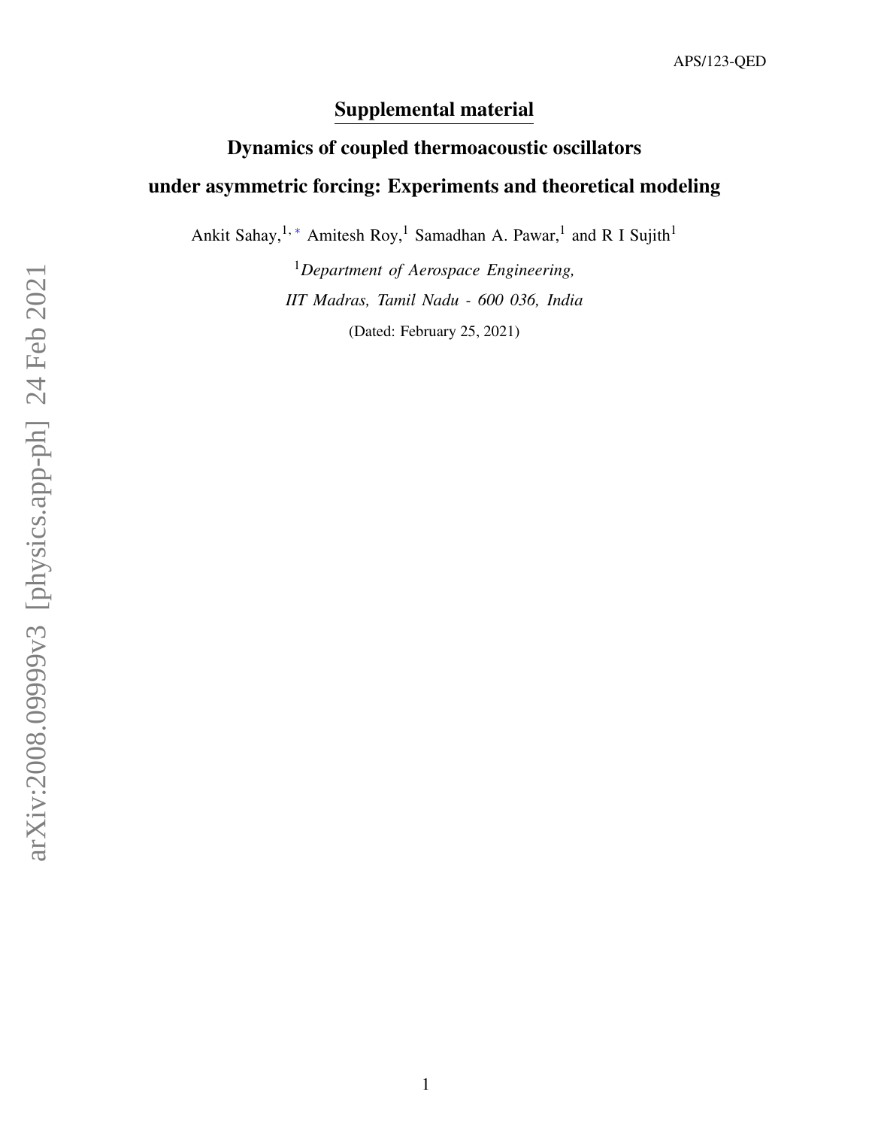# Supplemental material

# Dynamics of coupled thermoacoustic oscillators under asymmetric forcing: Experiments and theoretical modeling

Ankit Sahay,<sup>1,\*</sup> Amitesh Roy,<sup>1</sup> Samadhan A. Pawar,<sup>1</sup> and R I Sujith<sup>1</sup>

<sup>1</sup>*Department of Aerospace Engineering, IIT Madras, Tamil Nadu - 600 036, India* (Dated: February 25, 2021)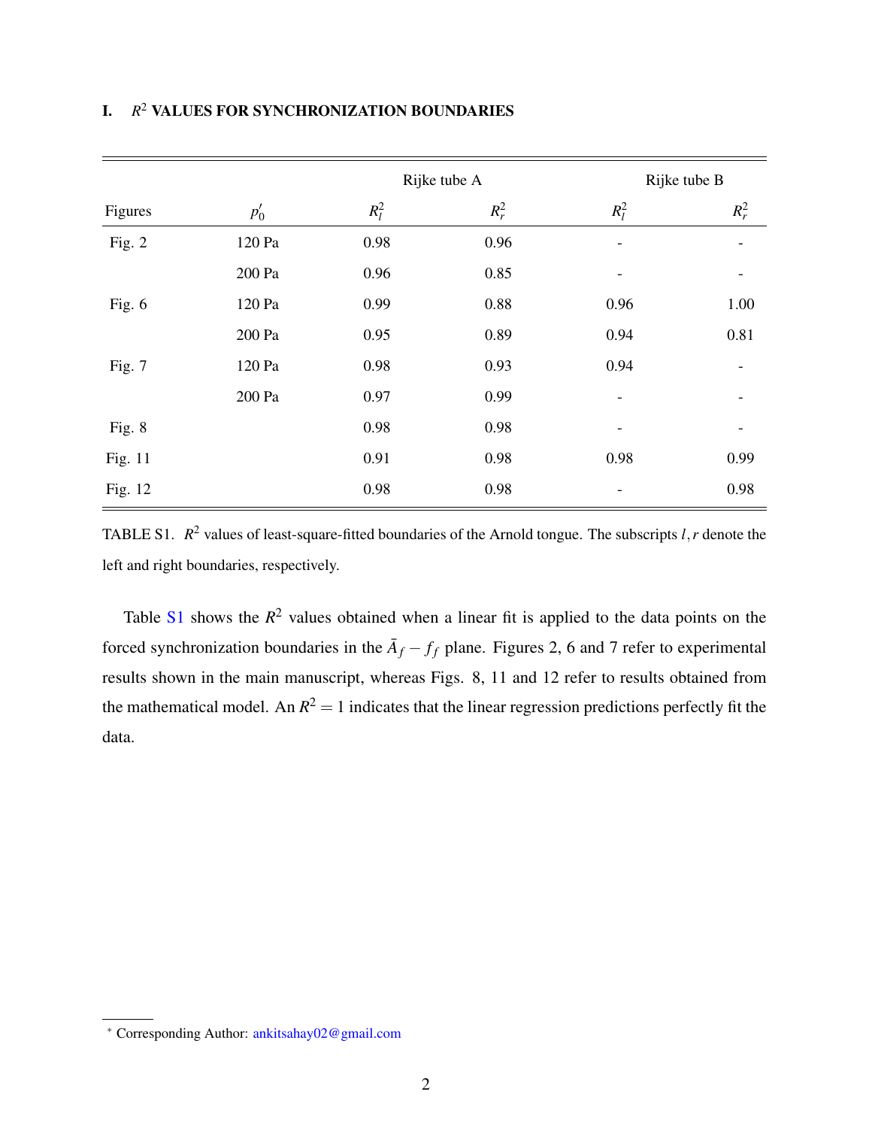|         |        | Rijke tube A |         | Rijke tube B             |         |
|---------|--------|--------------|---------|--------------------------|---------|
| Figures | $p'_0$ | $R_l^2$      | $R_r^2$ | $R_l^2$                  | $R_r^2$ |
| Fig. 2  | 120 Pa | 0.98         | 0.96    | $\overline{\phantom{a}}$ |         |
|         | 200 Pa | 0.96         | 0.85    |                          |         |
| Fig. 6  | 120 Pa | 0.99         | 0.88    | 0.96                     | 1.00    |
|         | 200 Pa | 0.95         | 0.89    | 0.94                     | 0.81    |
| Fig. 7  | 120 Pa | 0.98         | 0.93    | 0.94                     |         |
|         | 200 Pa | 0.97         | 0.99    | $\overline{\phantom{a}}$ |         |
| Fig. 8  |        | 0.98         | 0.98    | $\overline{\phantom{a}}$ |         |
| Fig. 11 |        | 0.91         | 0.98    | 0.98                     | 0.99    |
| Fig. 12 |        | 0.98         | 0.98    | $\overline{\phantom{a}}$ | 0.98    |

# I. *R* <sup>2</sup> VALUES FOR SYNCHRONIZATION BOUNDARIES

TABLE S1.  $R^2$  values of least-square-fitted boundaries of the Arnold tongue. The subscripts  $l, r$  denote the left and right boundaries, respectively.

Table S<sub>1</sub> shows the  $R^2$  values obtained when a linear fit is applied to the data points on the forced synchronization boundaries in the  $\bar{A}_f - f_f$  plane. Figures 2, 6 and 7 refer to experimental results shown in the main manuscript, whereas Figs. 8, 11 and 12 refer to results obtained from the mathematical model. An  $R^2 = 1$  indicates that the linear regression predictions perfectly fit the data.

<sup>∗</sup> Corresponding Author: ankitsahay02@gmail.com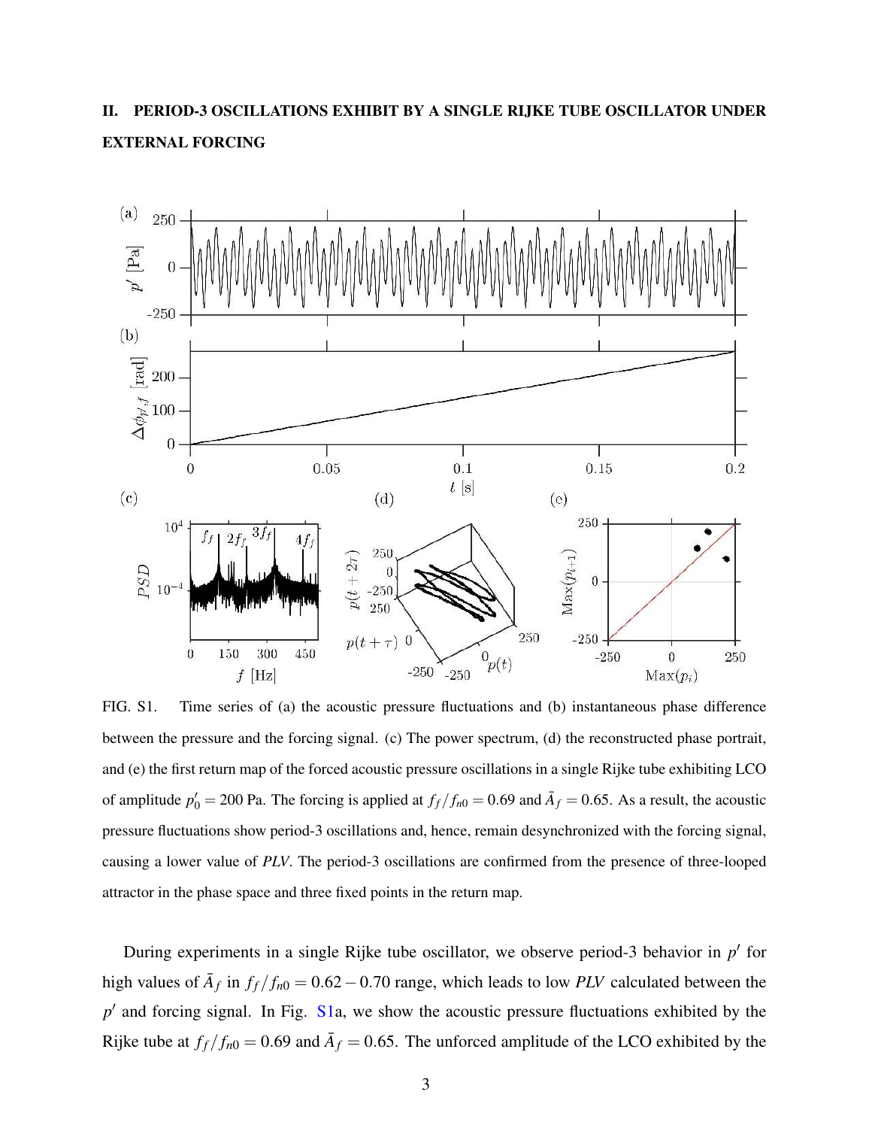# II. PERIOD-3 OSCILLATIONS EXHIBIT BY A SINGLE RIJKE TUBE OSCILLATOR UNDER EXTERNAL FORCING



FIG. S1. Time series of (a) the acoustic pressure fluctuations and (b) instantaneous phase difference between the pressure and the forcing signal. (c) The power spectrum, (d) the reconstructed phase portrait, and (e) the first return map of the forced acoustic pressure oscillations in a single Rijke tube exhibiting LCO of amplitude  $p'_0 = 200$  Pa. The forcing is applied at  $f_f/f_{n0} = 0.69$  and  $\bar{A}_f = 0.65$ . As a result, the acoustic pressure fluctuations show period-3 oscillations and, hence, remain desynchronized with the forcing signal, causing a lower value of *PLV*. The period-3 oscillations are confirmed from the presence of three-looped attractor in the phase space and three fixed points in the return map.

During experiments in a single Rijke tube oscillator, we observe period-3 behavior in p' for high values of  $\bar{A}_f$  in  $f_f/f_{n0} = 0.62 - 0.70$  range, which leads to low *PLV* calculated between the p<sup>'</sup> and forcing signal. In Fig. S1a, we show the acoustic pressure fluctuations exhibited by the Rijke tube at  $f_f/f_{n0} = 0.69$  and  $\bar{A}_f = 0.65$ . The unforced amplitude of the LCO exhibited by the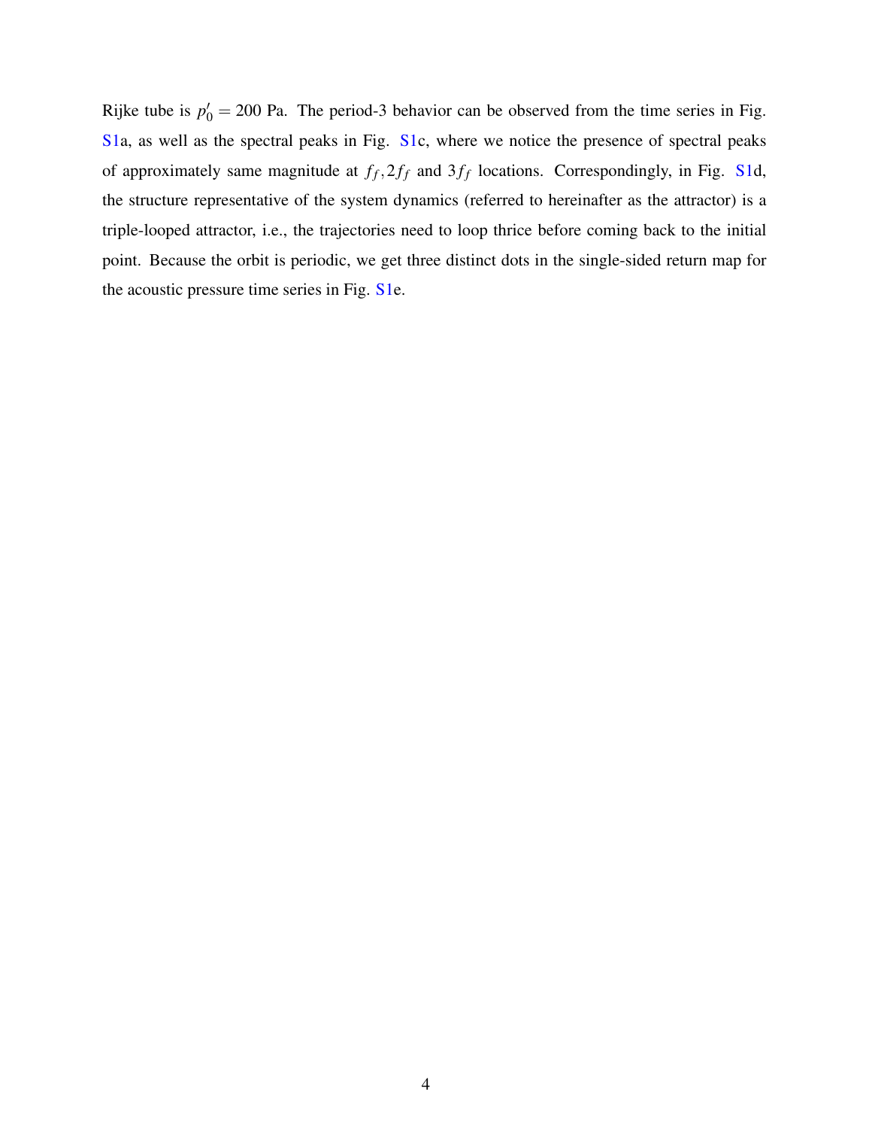Rijke tube is  $p'_0 = 200$  Pa. The period-3 behavior can be observed from the time series in Fig. S1a, as well as the spectral peaks in Fig. S1c, where we notice the presence of spectral peaks of approximately same magnitude at  $f_f$ ,  $2f_f$  and  $3f_f$  locations. Correspondingly, in Fig. S1d, the structure representative of the system dynamics (referred to hereinafter as the attractor) is a triple-looped attractor, i.e., the trajectories need to loop thrice before coming back to the initial point. Because the orbit is periodic, we get three distinct dots in the single-sided return map for the acoustic pressure time series in Fig. S1e.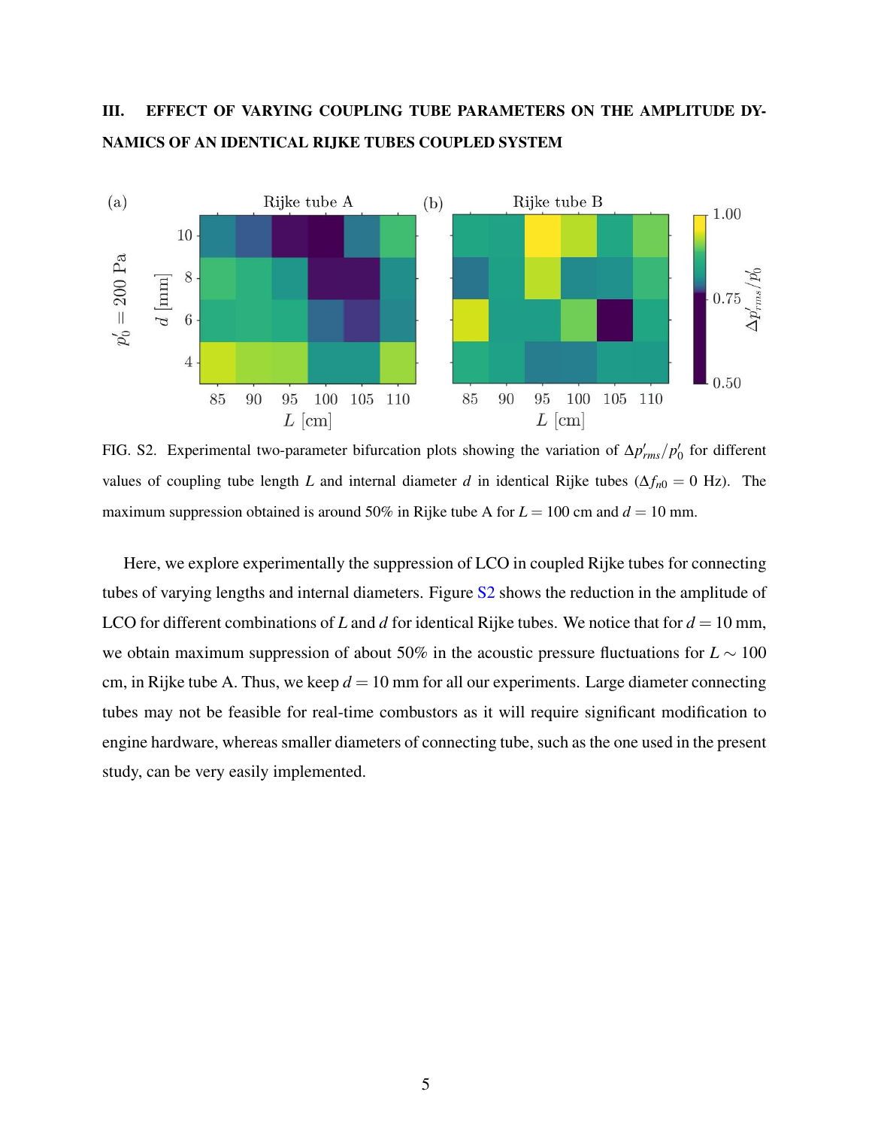# III. EFFECT OF VARYING COUPLING TUBE PARAMETERS ON THE AMPLITUDE DY-NAMICS OF AN IDENTICAL RIJKE TUBES COUPLED SYSTEM



FIG. S2. Experimental two-parameter bifurcation plots showing the variation of  $\Delta p'_{rms}/p'_0$  for different values of coupling tube length *L* and internal diameter *d* in identical Rijke tubes ( $\Delta f_{n0} = 0$  Hz). The maximum suppression obtained is around 50% in Rijke tube A for  $L = 100$  cm and  $d = 10$  mm.

Here, we explore experimentally the suppression of LCO in coupled Rijke tubes for connecting tubes of varying lengths and internal diameters. Figure S2 shows the reduction in the amplitude of LCO for different combinations of *L* and *d* for identical Rijke tubes. We notice that for  $d = 10$  mm, we obtain maximum suppression of about 50% in the acoustic pressure fluctuations for *L* ∼ 100 cm, in Rijke tube A. Thus, we keep  $d = 10$  mm for all our experiments. Large diameter connecting tubes may not be feasible for real-time combustors as it will require significant modification to engine hardware, whereas smaller diameters of connecting tube, such as the one used in the present study, can be very easily implemented.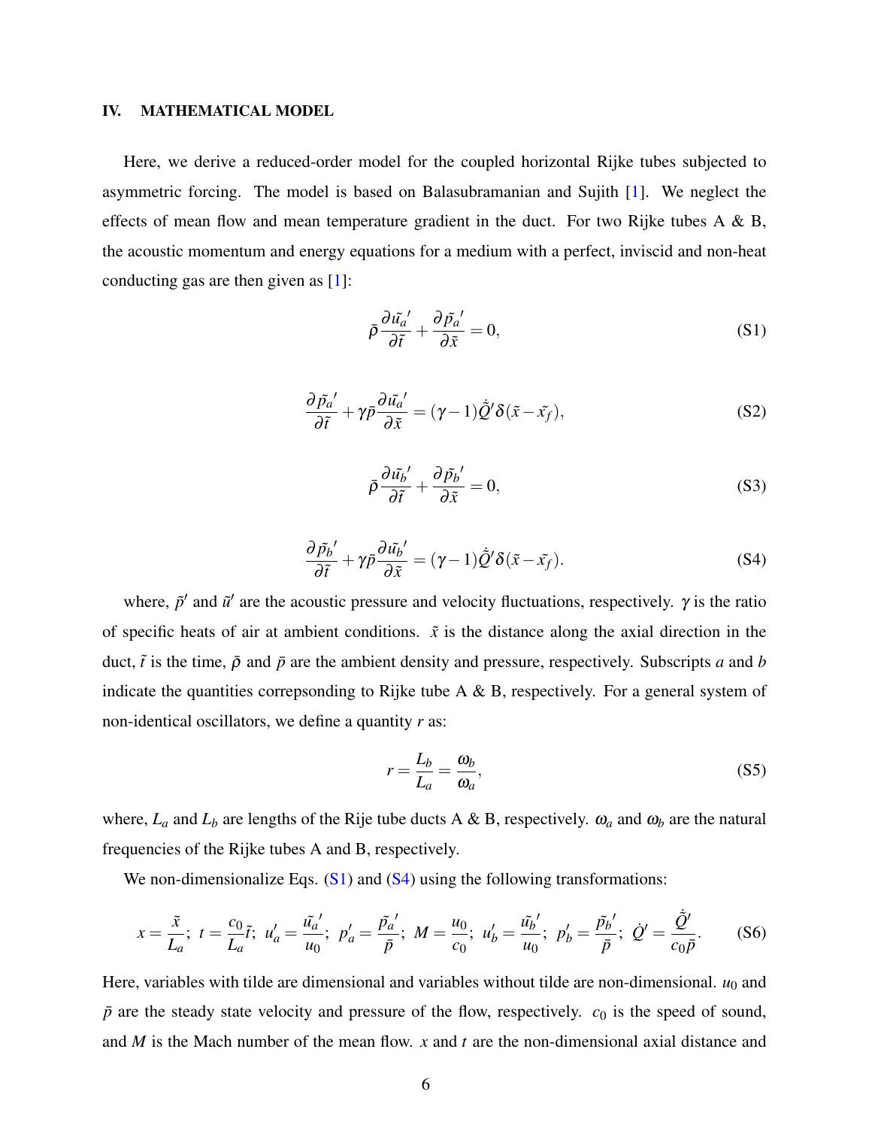### IV. MATHEMATICAL MODEL

Here, we derive a reduced-order model for the coupled horizontal Rijke tubes subjected to asymmetric forcing. The model is based on Balasubramanian and Sujith [1]. We neglect the effects of mean flow and mean temperature gradient in the duct. For two Rijke tubes A  $\&$  B, the acoustic momentum and energy equations for a medium with a perfect, inviscid and non-heat conducting gas are then given as [1]:

$$
\bar{\rho}\frac{\partial \tilde{u_a}'}{\partial \tilde{t}} + \frac{\partial \tilde{p_a}'}{\partial \tilde{x}} = 0,
$$
\n(S1)

$$
\frac{\partial \tilde{p}_a'}{\partial \tilde{t}} + \gamma \bar{p} \frac{\partial \tilde{u}_a'}{\partial \tilde{x}} = (\gamma - 1) \tilde{Q}' \delta(\tilde{x} - \tilde{x_f}),
$$
 (S2)

$$
\bar{\rho}\frac{\partial \tilde{u_b}'}{\partial \tilde{t}} + \frac{\partial \tilde{p_b}'}{\partial \tilde{x}} = 0,
$$
\n(S3)

$$
\frac{\partial \tilde{p}_b'}{\partial \tilde{t}} + \gamma \bar{p} \frac{\partial \tilde{u_b}'}{\partial \tilde{x}} = (\gamma - 1) \tilde{Q}' \delta(\tilde{x} - \tilde{x_f}).
$$
 (S4)

where,  $\tilde{p}'$  and  $\tilde{u}'$  are the acoustic pressure and velocity fluctuations, respectively.  $\gamma$  is the ratio of specific heats of air at ambient conditions.  $\tilde{x}$  is the distance along the axial direction in the duct,  $\tilde{t}$  is the time,  $\bar{\rho}$  and  $\bar{p}$  are the ambient density and pressure, respectively. Subscripts *a* and *b* indicate the quantities correpsonding to Rijke tube A & B, respectively. For a general system of non-identical oscillators, we define a quantity *r* as:

$$
r = \frac{L_b}{L_a} = \frac{\omega_b}{\omega_a},\tag{S5}
$$

where,  $L_a$  and  $L_b$  are lengths of the Rije tube ducts A & B, respectively.  $\omega_a$  and  $\omega_b$  are the natural frequencies of the Rijke tubes A and B, respectively.

We non-dimensionalize Eqs.  $(S1)$  and  $(S4)$  using the following transformations:

$$
x = \frac{\tilde{x}}{L_a}; \ t = \frac{c_0}{L_a}\tilde{t}; \ u'_a = \frac{\tilde{u'_a}'}{u_0}; \ p'_a = \frac{\tilde{p'_a}'}{\bar{p}}; \ M = \frac{u_0}{c_0}; \ u'_b = \frac{\tilde{u'_b}'}{u_0}; \ p'_b = \frac{\tilde{p'_b}'}{\bar{p}}; \ \dot{Q}' = \frac{\dot{\tilde{Q}}'}{c_0\bar{p}}.
$$
 (S6)

Here, variables with tilde are dimensional and variables without tilde are non-dimensional.  $u_0$  and  $\bar{p}$  are the steady state velocity and pressure of the flow, respectively.  $c_0$  is the speed of sound, and *M* is the Mach number of the mean flow. *x* and *t* are the non-dimensional axial distance and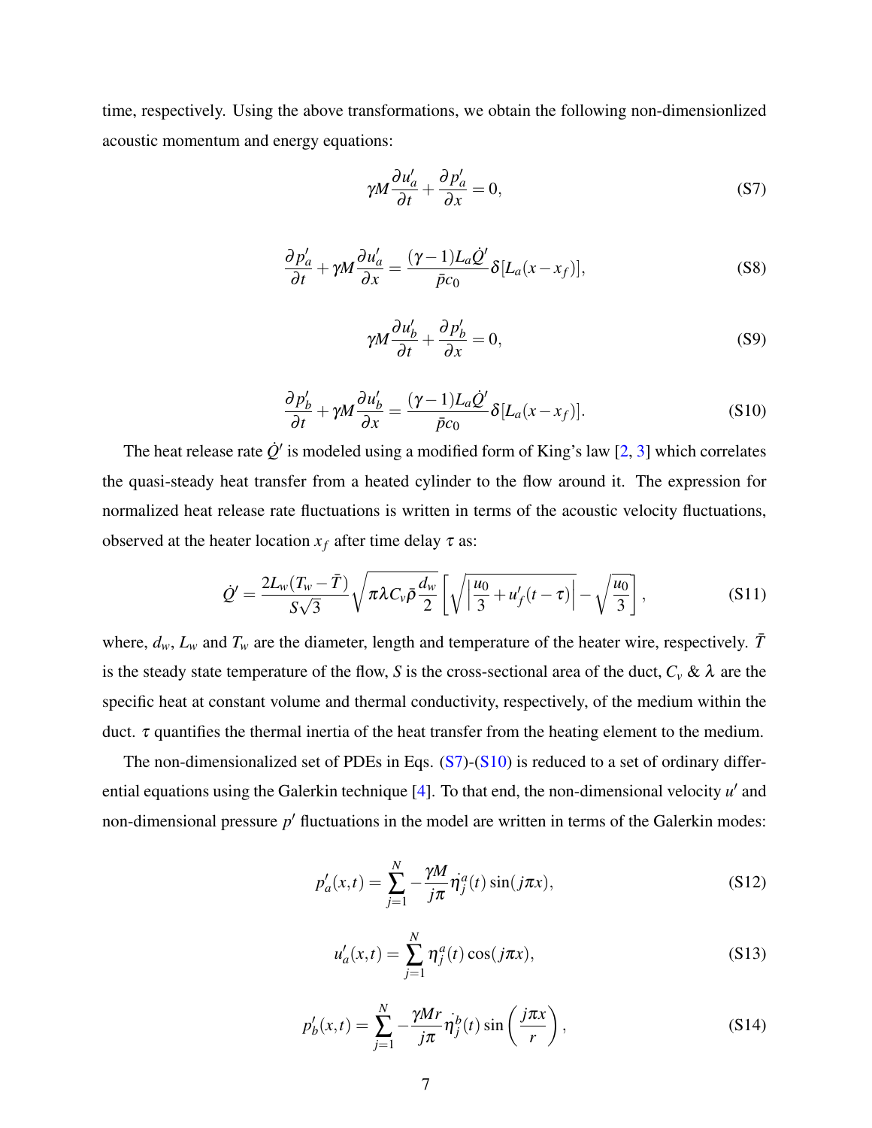time, respectively. Using the above transformations, we obtain the following non-dimensionlized acoustic momentum and energy equations:

$$
\gamma M \frac{\partial u'_a}{\partial t} + \frac{\partial p'_a}{\partial x} = 0,\tag{S7}
$$

$$
\frac{\partial p'_a}{\partial t} + \gamma M \frac{\partial u'_a}{\partial x} = \frac{(\gamma - 1)L_a \dot{Q}'}{\bar{p}c_0} \delta[L_a(x - x_f)],
$$
\n(S8)

$$
\gamma M \frac{\partial u_b'}{\partial t} + \frac{\partial p_b'}{\partial x} = 0,
$$
\n(S9)

$$
\frac{\partial p'_b}{\partial t} + \gamma M \frac{\partial u'_b}{\partial x} = \frac{(\gamma - 1)L_a \dot{Q}'}{\bar{p}c_0} \delta[L_a(x - x_f)].
$$
\n(S10)

The heat release rate  $\dot{Q}'$  is modeled using a modified form of King's law [2, 3] which correlates the quasi-steady heat transfer from a heated cylinder to the flow around it. The expression for normalized heat release rate fluctuations is written in terms of the acoustic velocity fluctuations, observed at the heater location  $x_f$  after time delay  $\tau$  as:

$$
\dot{Q}' = \frac{2L_w(T_w - \bar{T})}{S\sqrt{3}} \sqrt{\pi \lambda C_v \bar{\rho} \frac{d_w}{2}} \left[ \sqrt{\left| \frac{u_0}{3} + u_f'(t - \tau) \right|} - \sqrt{\frac{u_0}{3}} \right],
$$
\n(S11)

where,  $d_w$ ,  $L_w$  and  $T_w$  are the diameter, length and temperature of the heater wire, respectively.  $\bar{T}$ is the steady state temperature of the flow, *S* is the cross-sectional area of the duct,  $C_v \& \lambda$  are the specific heat at constant volume and thermal conductivity, respectively, of the medium within the duct.  $τ$  quantifies the thermal inertia of the heat transfer from the heating element to the medium.

The non-dimensionalized set of PDEs in Eqs.  $(S7)$ - $(S10)$  is reduced to a set of ordinary differential equations using the Galerkin technique [4]. To that end, the non-dimensional velocity *u'* and non-dimensional pressure p<sup>'</sup> fluctuations in the model are written in terms of the Galerkin modes:

$$
p'_a(x,t) = \sum_{j=1}^{N} -\frac{\gamma M}{j\pi} \dot{\eta}_j^a(t) \sin(j\pi x),
$$
 (S12)

$$
u'_a(x,t) = \sum_{j=1}^{N} \eta_j^a(t) \cos(j\pi x),
$$
 (S13)

$$
p'_b(x,t) = \sum_{j=1}^N -\frac{\gamma Mr}{j\pi} \dot{\eta}_j^b(t) \sin\left(\frac{j\pi x}{r}\right),\tag{S14}
$$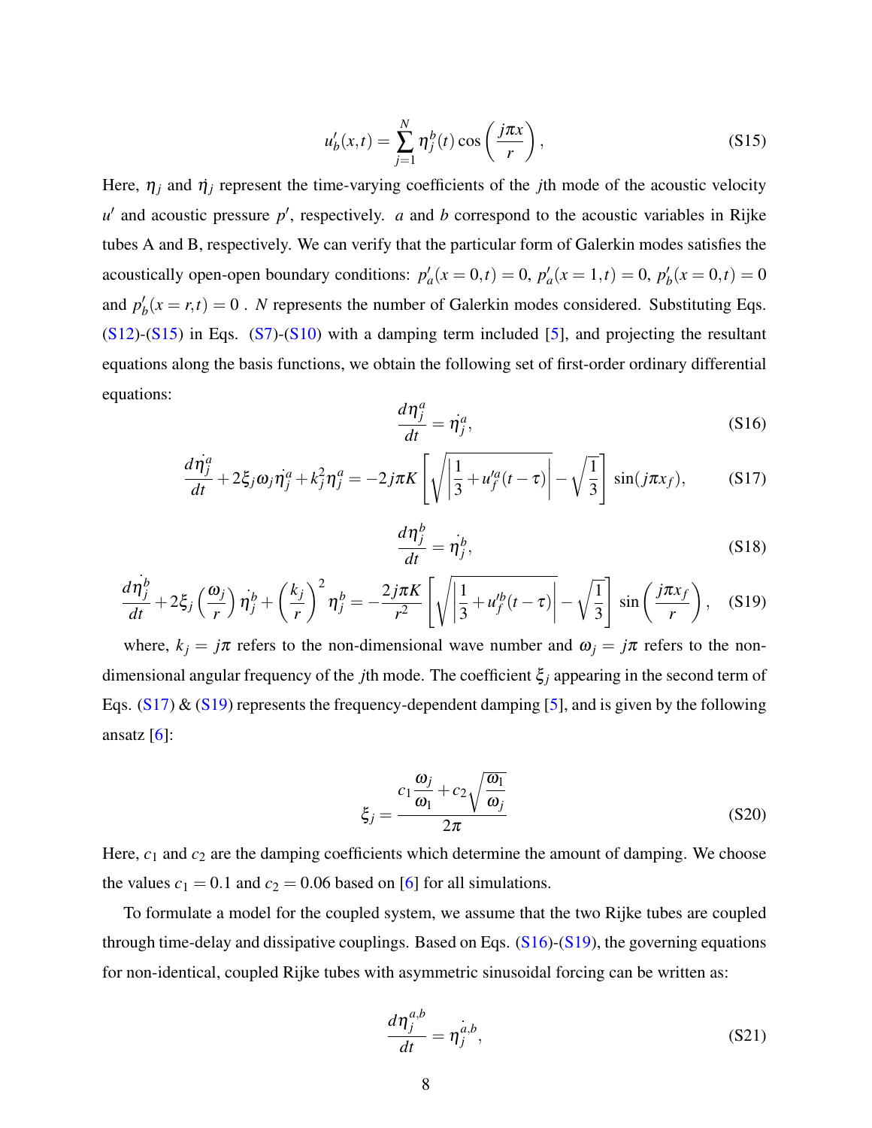$$
u'_b(x,t) = \sum_{j=1}^N \eta_j^b(t) \cos\left(\frac{j\pi x}{r}\right),\tag{S15}
$$

Here,  $\eta_i$  and  $\dot{\eta}_i$  represent the time-varying coefficients of the *j*th mode of the acoustic velocity *u*<sup> $u'$ </sup> and acoustic pressure *p*<sup> $\prime$ </sup>, respectively. *a* and *b* correspond to the acoustic variables in Rijke tubes A and B, respectively. We can verify that the particular form of Galerkin modes satisfies the acoustically open-open boundary conditions:  $p'_a(x=0,t) = 0$ ,  $p'_a(x=1,t) = 0$ ,  $p'_b(x=0,t) = 0$ and  $p'_b(x = r, t) = 0$ . *N* represents the number of Galerkin modes considered. Substituting Eqs.  $(S12)-(S15)$  in Eqs.  $(S7)-(S10)$  with a damping term included [5], and projecting the resultant equations along the basis functions, we obtain the following set of first-order ordinary differential equations:

$$
\frac{d\eta_j^a}{dt} = \dot{\eta}_j^a,\tag{S16}
$$

$$
\frac{d\dot{\eta}_j^a}{dt} + 2\xi_j \omega_j \dot{\eta}_j^a + k_j^2 \eta_j^a = -2j\pi K \left[ \sqrt{\left| \frac{1}{3} + u_f^{\prime a}(t-\tau) \right|} - \sqrt{\frac{1}{3}} \right] \sin(j\pi x_f), \quad (S17)
$$

$$
\frac{d\eta_j^b}{dt} = \dot{\eta}_j^b,\tag{S18}
$$

$$
\frac{d\dot{\eta}_j^b}{dt} + 2\xi_j \left(\frac{\omega_j}{r}\right) \dot{\eta}_j^b + \left(\frac{k_j}{r}\right)^2 \eta_j^b = -\frac{2j\pi K}{r^2} \left[ \sqrt{\left|\frac{1}{3} + u_j^b(t-\tau)\right|} - \sqrt{\frac{1}{3}} \right] \sin\left(\frac{j\pi x_j}{r}\right), \quad (S19)
$$

where,  $k_j = j\pi$  refers to the non-dimensional wave number and  $\omega_j = j\pi$  refers to the nondimensional angular frequency of the *j*th mode. The coefficient ξ*<sup>j</sup>* appearing in the second term of Eqs.  $(S17)$  &  $(S19)$  represents the frequency-dependent damping [5], and is given by the following ansatz  $[6]$ :

$$
\xi_j = \frac{c_1 \frac{\omega_j}{\omega_1} + c_2 \sqrt{\frac{\omega_1}{\omega_j}}}{2\pi}
$$
\n(S20)

Here,  $c_1$  and  $c_2$  are the damping coefficients which determine the amount of damping. We choose the values  $c_1 = 0.1$  and  $c_2 = 0.06$  based on [6] for all simulations.

To formulate a model for the coupled system, we assume that the two Rijke tubes are coupled through time-delay and dissipative couplings. Based on Eqs. (S16)-(S19), the governing equations for non-identical, coupled Rijke tubes with asymmetric sinusoidal forcing can be written as:

$$
\frac{d\eta_j^{a,b}}{dt} = \eta_j^{\dot{a},b},\tag{S21}
$$